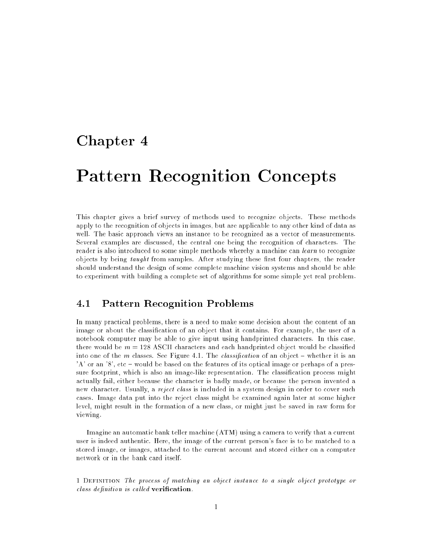# Chapter <sup>4</sup>

# Pattern Recognition Concepts

This chapter gives a brief survey of methods used to recognize objects. These methods apply to the recognition of objects in images, but are applicable to any other kind of data as well. The basic approach views an instance to be recognized as a vector of measurements. Several examples are discussed, the central one being the recognition of characters. The reader is also introduced to some simple methods whereby a machine can *learn* to recognize objects by being taught from samples. After studying these first four chapters, the reader should understand the design of some complete machine vision systems and should be able to experiment with building a complete set of algorithms for some simple yet real problem.

#### $4.1$ Pattern Recognition Problems

In many practical problems, there is a need to make some decision about the content of an image or about the classication of an object that it contains. For example, the user of a notebook computer may be able to give input using handprinted characters. In this case, there would be  $m = 128$  ASCII characters and each handprinted object would be classified into one of the m classes. See Figure 4.1. The *classification* of an object – whether it is an 'A' or an '8', etc – would be based on the features of its optical image or perhaps of a pressure footprint, which is also an image-like representation. The classification process might actually fail, either because the character is badly made, or because the person invented a new character. Usually, a reject class is included in a system design in order to cover such cases. Image data put into the reject class might be examined again later at some higher level, might result in the formation of a new class, or might just be saved in raw form for viewing.

Imagine an automatic bank teller machine (ATM) using a camera to verify that a current user is indeed authentic. Here, the image of the current person's face is to be matched to a stored image, or images, attached to the current account and stored either on a computer network or in the bank card itself.

1 Definition The process of matching an object instance to a single object prototype or  $class\ definition\ is\ called\ verification.$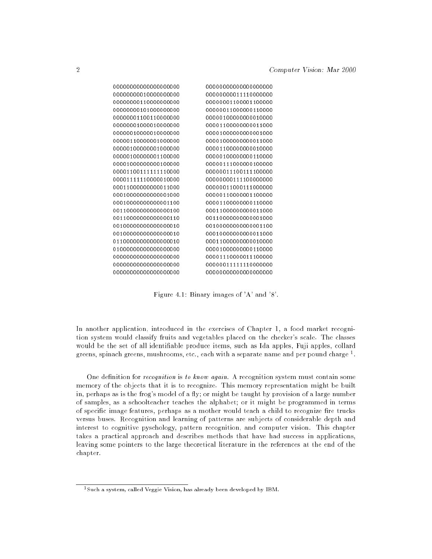| 00000000000000000000 |
|----------------------|
| 00000000011110000000 |
| 00000001100001100000 |
| 00000011000000110000 |
| 00000100000000010000 |
| 00001100000000011000 |
| 00001000000000001000 |
| 00001000000000011000 |
| 00001100000000010000 |
| 00000100000000110000 |
| 00000111000000100000 |
| 00000011100111100000 |
| 00000000111100000000 |
| 00000011000111000000 |
| 00000110000001100000 |
| 00001100000000110000 |
| 00011000000000011000 |
| 0011000000000001000  |
| 0010000000000001100  |
| 00010000000000011000 |
| 00011000000000010000 |
| 00001000000000110000 |
| 00001110000011100000 |
| 00000011111110000000 |
| 00000000000000000000 |
|                      |

Figure 4.1: Binary images of 'A' and '8'.

In another application, introduced in the exercises of Chapter 1, a food market recognition system would classify fruits and vegetables placed on the checker's scale. The classes would be the set of all identifiable produce items, such as Ida apples, Fuji apples, collard greens, spinach greens, mushrooms, etc., each with a separate name and per pound charge 1.

One definition for *recognition* is to know again. A recognition system must contain some memory of the objects that it is to recognize. This memory representation might be built in, perhaps as is the frog's model of a fly; or might be taught by provision of a large number of samples, as a schoolteacher teaches the alphabet; or it might be programmed in terms of specific image features, perhaps as a mother would teach a child to recognize fire trucks versus buses. Recognition and learning of patterns are subjects of considerable depth and interest to cognitive pyschology, pattern recognition, and computer vision. This chapter takes a practical approach and describes methods that have had success in applications, leaving some pointers to the large theoretical literature in the references at the end of the chapter.

<sup>1</sup> Such a system, called Veggie Vision, has already been developed by IBM.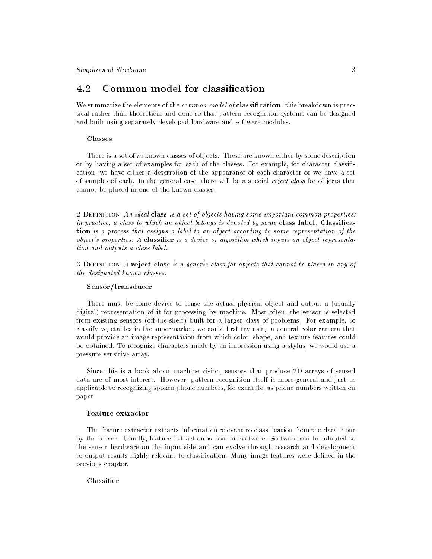#### Common model for classification 4.2

We summarize the elements of the *common model of* classification: this breakdown is practical rather than theoretical and done so that pattern recognition systems can be designed and built using separately developed hardware and software modules.

### **Classes**

There is a set of  $m$  known classes of objects. These are known either by some description or by having a set of examples for each of the classes. For example, for character classification, we have either a description of the appearance of each character or we have a set of samples of each. In the general case, there will be a special reject class for objects that cannot be placed in one of the known classes.

2 DEFINITION An ideal class is a set of objects having some important common properties: in practice, a class to which an object belongs is denoted by some class label. Classification is a process that assigns a label to an object according to some representation of the  $object's$  properties. A classifier is a device or algorithm which inputs an object representation and outputs a class label.

3 Definition A reject class is a generic class for objects that cannot be placed in any of the designated known classes.

### Sensor/transducer

There must be some device to sense the actual physical object and output a (usually digital) representation of it for processing by machine. Most often, the sensor is selected from existing sensors (off-the-shelf) built for a larger class of problems. For example, to classify vegetables in the supermarket, we could first try using a general color camera that would provide an image representation from which color, shape, and texture features could be obtained. To recognize characters made by an impression using a stylus, we would use a pressure sensitive array.

Since this is a book about machine vision, sensors that produce 2D arrays of sensed data are of most interest. However, pattern recognition itself is more general and just as applicable to recognizing spoken phone numbers, for example, as phone numbers written on paper.

### Feature extractor

The feature extractor extracts information relevant to classication from the data input by the sensor. Usually, feature extraction is done in software. Software can be adapted to the sensor hardware on the input side and can evolve through research and development to output results highly relevant to classification. Many image features were defined in the previous chapter.

### Classifier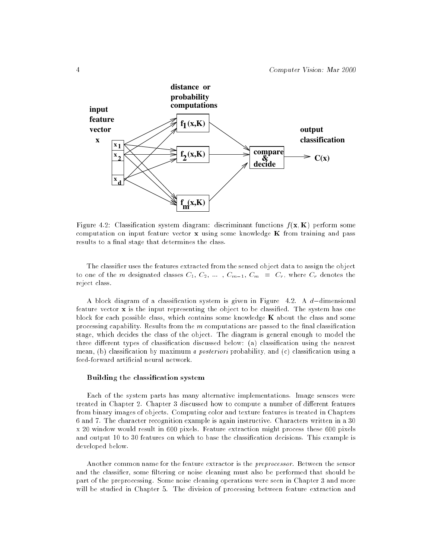

Figure 4.2: Classification system diagram: discriminant functions  $f(\mathbf{x}, K)$  perform some computation on input feature vector  $\bf{x}$  using some knowledge  $\bf{K}$  from training and pass results to a final stage that determines the class.

The classier uses the features extracted from the sensed object data to assign the object to one of the m designated classes  $C_1, C_2, \ldots, C_{m-1}, C_m = C_r$ , where  $C_r$  denotes the reject class.

A block diagram of a classification system is given in Figure  $4.2$ . A d-dimensional feature vector  $\bf{x}$  is the input representing the object to be classified. The system has one block for each possible class, which contains some knowledge  $K$  about the class and some processing capability. Results from the  $m$  computations are passed to the final classification stage, which decides the class of the object. The diagram is general enough to model the three different types of classification discussed below: (a) classification using the nearest mean, (b) classification by maximum a posteriori probability, and (c) classification using a feed-forward articial neural network.

### Building the classication system

Each of the system parts has many alternative implementations. Image sensors were treated in Chapter 2. Chapter 3 discussed how to compute a number of different features from binary images of objects. Computing color and texture features is treated in Chapters 6 and 7. The character recognition example is again instructive. Characters written in a 30 x 20 window would result in 600 pixels. Feature extraction might process these 600 pixels and output 10 to 30 features on which to base the classification decisions. This example is developed below.

Another common name for the feature extractor is the preprocessor. Between the sensor and the classifier, some filtering or noise cleaning must also be performed that should be part of the preprocessing. Some noise cleaning operations were seen in Chapter 3 and more will be studied in Chapter 5. The division of processing between feature extraction and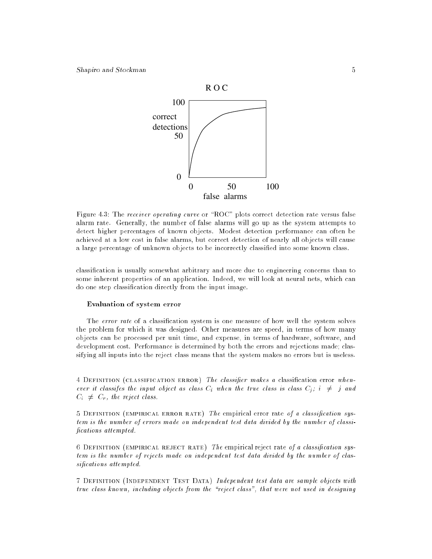

Figure 4.3: The *receiver operating curve* or "ROC" plots correct detection rate versus false alarm rate. Generally, the number of false alarms will go up as the system attempts to detect higher percentages of known objects. Modest detection performance can often be achieved at a low cost in false alarms, but correct detection of nearly all objects will cause a large percentage of unknown objects to be incorrectly classied into some known class.

classication is usually somewhat arbitrary and more due to engineering concerns than to some inherent properties of an application. Indeed, we will look at neural nets, which can do one step classication directly from the input image.

### Evaluation of system error

The error rate of a classification system is one measure of how well the system solves the problem for which it was designed. Other measures are speed, in terms of how many objects can be processed per unit time, and expense, in terms of hardware, software, and development cost. Performance is determined by both the errors and rejections made; classifying all inputs into the reject class means that the system makes no errors but is useless.

4 DEFINITION (CLASSIFICATION ERROR) The classifier makes a classification error whenever it classifes the input object as class  $C_i$  when the true class is class  $C_j$ ;  $i \neq j$  and  $C_i \neq C_r$ , the reject class.

5 DEFINITION (EMPIRICAL ERROR RATE) The empirical error rate of a classification system is the number of errors made on independent test data divided by the number of classi fications attempted.

6 DEFINITION (EMPIRICAL REJECT RATE) The empirical reject rate of a classification system is the number of rejects made on independent test data divided by the number of classifications attempted.

7 Definition (Independent Test Data) Independent test data are sample objects with true class known, including objects from the \reject class", that were not used in designing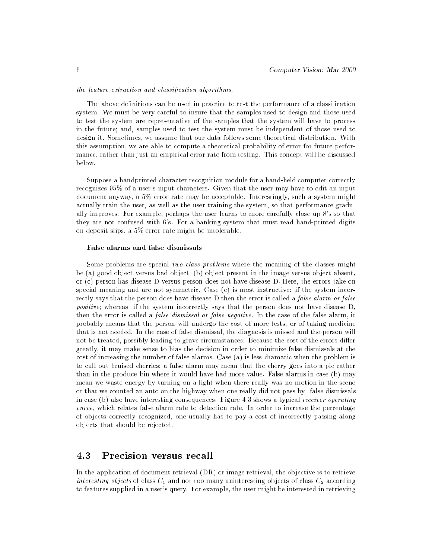### the feature extraction and classication algorithms.

The above definitions can be used in practice to test the performance of a classification system. We must be very careful to insure that the samples used to design and those used to test the system are representative of the samples that the system will have to process in the future; and, samples used to test the system must be independent of those used to design it. Sometimes, we assume that our data follows some theoretical distribution. With this assumption, we are able to compute a theoretical probability of error for future performance, rather than just an empirical error rate from testing. This concept will be discussed below.

Suppose a handprinted character recognition module for a hand-held computer correctly recognizes 95% of a user's input characters. Given that the user may have to edit an input document anyway, a 5% error rate may be acceptable. Interestingly, such a system might actually train the user, as well as the user training the system, so that performance gradually improves. For example, perhaps the user learns to more carefully close up 8's so that they are not confused with 6's. For a banking system that must read hand-printed digits on deposit slips, a 5% error rate might be intolerable.

### False alarms and false dismissals

Some problems are special two-class problems where the meaning of the classes might be (a) good object versus bad object, (b) object present in the image versus object absent, or (c) person has disease D versus person does not have disease D. Here, the errors take on special meaning and are not symmetric. Case (c) is most instructive: if the system incorrectly says that the person does have disease D then the error is called a *false alarm or false* positive; whereas, if the system incorrectly says that the person does not have disease D, then the error is called a false dismissal or false negative. In the case of the false alarm, it probably means that the person will undergo the cost of more tests, or of taking medicine that is not needed. In the case of false dismissal, the diagnosis is missed and the person will not be treated, possibly leading to grave circumstances. Because the cost of the errors differ greatly, it may make sense to bias the decision in order to minimize false dismissals at the cost of increasing the number of false alarms. Case (a) is less dramatic when the problem is to cull out bruised cherries; a false alarm may mean that the cherry goes into a pie rather than in the produce bin where it would have had more value. False alarms in case (b) may mean we waste energy by turning on a light when there really was no motion in the scene or that we counted an auto on the highway when one really did not pass by: false dismissals in case (b) also have interesting consequences. Figure 4.3 shows a typical receiver operating curve, which relates false alarm rate to detection rate. In order to increase the percentage of objects correctly recognized, one usually has to pay a cost of incorrectly passing along objects that should be rejected.

# 4.3

In the application of document retrieval (DR) or image retrieval, the objective is to retrieve interesting objects of class  $C_1$  and not too many uninteresting objects of class  $C_2$  according to features supplied in a user's query. For example, the user might be interested in retrieving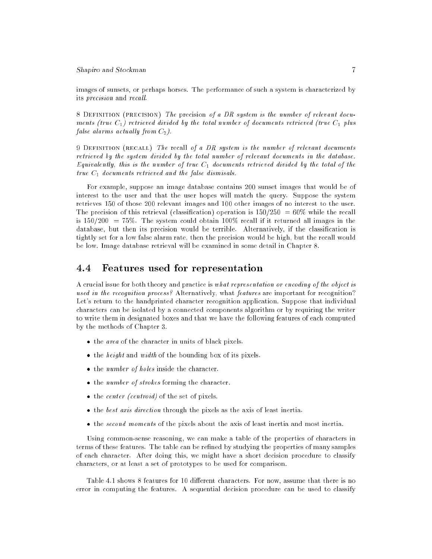images of sunsets, or perhaps horses. The performance of such a system is characterized by its *precision* and *recall*.

8 DEFINITION (PRECISION) The precision of a DR system is the number of relevant documents (true  $C_1$ ) retrieved divided by the total number of documents retrieved (true  $C_1$  plus false alarms actually from  $C_2$ ).

9 DEFINITION (RECALL) The recall of a DR system is the number of relevant documents retrieved by the system divided by the total number of relevant documents in the database. Equivalently, this is the number of true  $C_1$  documents retrieved divided by the total of the true  $C_1$  documents retrieved and the false dismisals.

For example, suppose an image database contains 200 sunset images that would be of interest to the user and that the user hopes will match the query. Suppose the system retrieves 150 of those 200 relevant images and 100 other images of no interest to the user. The precision of this retrieval (classification) operation is  $150/250 = 60\%$  while the recall is  $150/200 = 75\%$ . The system could obtain 100% recall if it returned all images in the database, but then its precision would be terrible. Alternatively, if the classification is tightly set for a low false alarm rate, then the precision would be high, but the recall would be low. Image database retrieval will be examined in some detail in Chapter 8.

#### Features used for representation 4.4

A crucial issue for both theory and practice is what representation or encoding of the object is used in the recognition process? Alternatively, what features are important for recognition? Let's return to the handprinted character recognition application. Suppose that individual characters can be isolated by a connected components algorithm or by requiring the writer to write them in designated boxes and that we have the following features of each computed by the methods of Chapter 3.

- the area of the character in units of black pixels.
- $\bullet$  the *height* and *width* of the bounding box of its pixels.
- the *number of holes* inside the character.
- $\bullet$  the number of strokes forming the character.
- $\bullet$  the *center (centroid)* of the set of pixels.
- $\bullet$  the *best axis direction* through the pixels as the axis of least inertia.
- the second moments of the pixels about the axis of least inertia and most inertia.

Using common-sense reasoning, we can make a table of the properties of characters in terms of these features. The table can be refined by studying the properties of many samples of each character. After doing this, we might have a short decision procedure to classify characters, or at least a set of prototypes to be used for comparison.

Table 4.1 shows 8 features for 10 different characters. For now, assume that there is no error in computing the features. A sequential decision procedure can be used to classify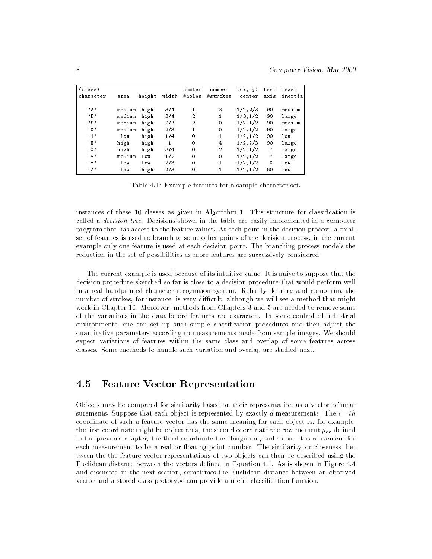| (class)<br>character | area   | height | width | number<br>#holes | number<br>#strokes | (cx, cy)<br>center | best<br>axis | least<br>inertia |
|----------------------|--------|--------|-------|------------------|--------------------|--------------------|--------------|------------------|
|                      |        |        |       |                  |                    |                    |              |                  |
| $, \mathbf{A}$ ,     | medium | high   | 3/4   | 1                | 3                  | 1/2, 2/3           | 90           | medium           |
| , B                  | medium | high   | 3/4   | $\overline{2}$   | 1                  | 1/3, 1/2           | 90           | large            |
| ,8,                  | medium | high   | 2/3   | $\overline{2}$   | $\Omega$           | 1/2, 1/2           | 90           | medium           |
| ,0,                  | medium | high   | 2/3   | 1                | $\mathbf 0$        | 1/2, 1/2           | 90           | large            |
| ,1,1                 | low    | high   | 1/4   | $\circ$          | 1                  | 1/2, 1/2           | 90           | $\log$           |
| 2間?                  | high   | high   | 1     | $\Omega$         | 4                  | 1/2, 2/3           | 90           | large            |
| , x                  | high   | high   | 3/4   | $\Omega$         | $\overline{2}$     | 1/2, 1/2           | ?            | large            |
| $, \ldots$           | medium | 100    | 1/2   | $\circ$          | $\Omega$           | 1/2, 1/2           | ?            | large            |
| $, -$                | low    | 100    | 2/3   | $\Omega$         | 1                  | 1/2, 1/2           | $\Omega$     | low              |
| , , ,                | low    | high   | 2/3   | $\circ$          | 1                  | 1/2, 1/2           | 60           | low              |

Table 4.1: Example features for a sample character set.

instances of these 10 classes as given in Algorithm 1. This structure for classification is called a *decision tree*. Decisions shown in the table are easily implemented in a computer program that has access to the feature values. At each point in the decision process, a small set of features is used to branch to some other points of the decision process; in the current example only one feature is used at each decision point. The branching process models the reduction in the set of possibilities as more features are successively considered.

The current example is used because of its intuitive value. It is naive to suppose that the decision procedure sketched so far is close to a decision procedure that would perform well in a real handprinted character recognition system. Reliably defining and computing the number of strokes, for instance, is very difficult, although we will see a method that might work in Chapter 10. Moreover, methods from Chapters 3 and 5 are needed to remove some of the variations in the data before features are extracted. In some controlled industrial environments, one can set up such simple classication procedures and then adjust the quantitative parameters according to measurements made from sample images. We should expect variations of features within the same class and overlap of some features across classes. Some methods to handle such variation and overlap are studied next.

## 4.5 Feature Vector Representation

Objects may be compared for similarity based on their representation as a vector of measurements. Suppose that each object is represented by exactly d measurements. The  $i-th$ coordinate of such a feature vector has the same meaning for each object  $A$ ; for example, the first coordinate might be object area, the second coordinate the row moment  $\mu_{rr}$  defined in the previous chapter, the third coordinate the elongation, and so on. It is convenient for each measurement to be a real or floating point number. The similarity, or closeness, between the the feature vector representations of two objects can then be described using the Euclidean distance between the vectors defined in Equation 4.1. As is shown in Figure 4.4 and discussed in the next section, sometimes the Euclidean distance between an observed vector and a stored class prototype can provide a useful classification function.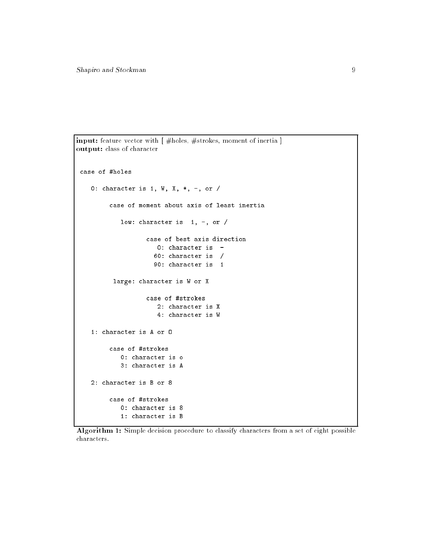```
input: feature vector with [ #holes, #strokes, moment of inertia ]
output: class of character
 case of #holes
    0: character is 1, W, X, *, -, or /
         case of moment about axis of least inertia
            low: character is 1, -, or /
                   case of best axis direction
                      0: character is -
                      60: character is /
                     90: character is 1
          large: character is W or X
                   case of #strokes
                      2: character is X
                      4: character is W
    1: character is A or O
         case of #strokes
            0: character is o
            3: character is A
    2: character is B or 8
         case of #strokes
            0: character is 8
            1: character is B
```
Algorithm 1: Simple decision procedure to classify characters from a set of eight possible characters.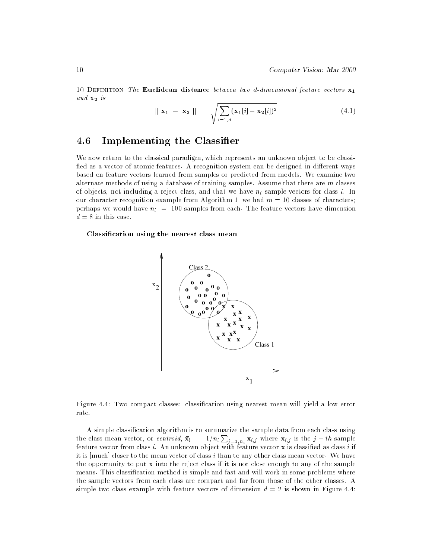10 DEFINITION The Euclidean distance between two d-dimensional feature vectors  $\mathbf{x}_1$  $and\ \mathbf{x_{2}}\ is$ 

$$
\|\mathbf{x_1} - \mathbf{x_2}\| = \sqrt{\sum_{i=1,d} (\mathbf{x_1}[i] - \mathbf{x_2}[i])^2}
$$
(4.1)

#### Implementing the Classifier 4.6

We now return to the classical paradigm, which represents an unknown object to be classi fied as a vector of atomic features. A recognition system can be designed in different ways based on feature vectors learned from samples or predicted from models. We examine two alternate methods of using a database of training samples. Assume that there are  $m$  classes of objects, not including a reject class, and that we have  $n_i$  sample vectors for class i. In our character recognition example from Algorithm 1, we had  $m = 10$  classes of characters; perhaps we would have  $n_i = 100$  samples from each. The feature vectors have dimension  $d = 8$  in this case.

### Classication using the nearest class mean



Figure 4.4: Two compact classes: classication using nearest mean will yield a low error rate.

A simple classication algorithm is to summarize the sample data from each class using the class mean vector, or *centroid*,  $\bar{\mathbf{x_i}} = 1/n_i \sum_{j=1,n_i} \mathbf{x}_{i,j}$  where  $\mathbf{x}_{i,j}$  is the  $j-th$  sample feature vector from class i. An unknown object with feature vector x is classified as class i if it is  $[much]$  closer to the mean vector of class i than to any other class mean vector. We have the opportunity to put  $\bf{x}$  into the reject class if it is not close enough to any of the sample means. This classification method is simple and fast and will work in some problems where the sample vectors from each class are compact and far from those of the other classes. A simple two class example with feature vectors of dimension  $d = 2$  is shown in Figure 4.4: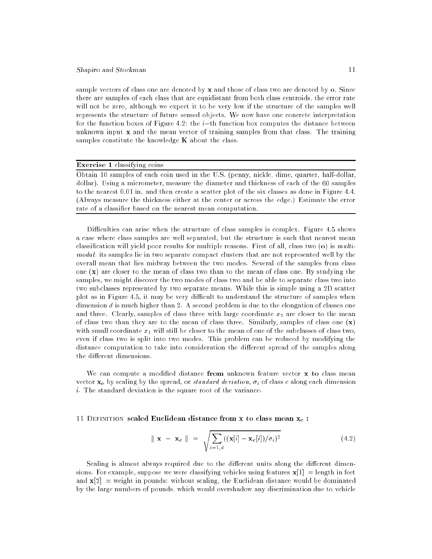sample vectors of class one are denoted by x and those of class two are denoted by o. Since there are samples of each class that are equidistant from both class centroids, the error rate will not be zero, although we expect it to be very low if the structure of the samples well represents the structure of future sensed objects. We now have one concrete interpretation for the function boxes of Figure 4.2: the  $i$ -th function box computes the distance between unknown input  $x$  and the mean vector of training samples from that class. The training samples constitute the knowledge  $K$  about the class.

### Exercise 1 classifying coins

Obtain 10 samples of each coin used in the U.S. (penny, nickle, dime, quarter, half-dollar, dollar). Using a micrometer, measure the diameter and thickness of each of the 60 samples to the nearest 0.01 in. and then create a scatter plot of the six classes as done in Figure 4.4. (Always measure the thickness either at the center or across the edge.) Estimate the error rate of a classier based on the nearest mean computation.

Difficulties can arise when the structure of class samples is complex. Figure 4.5 shows a case where class samples are well separated, but the structure is such that nearest mean classification will yield poor results for multiple reasons. First of all, class two  $(o)$  is multimodal: its samples lie in two separate compact clusters that are not represented well by the overall mean that lies midway between the two modes. Several of the samples from class one  $(x)$  are closer to the mean of class two than to the mean of class one. By studying the samples, we might discover the two modes of class two and be able to separate class two into two subclasses represented by two separate means. While this is simple using a 2D scatter plot as in Figure 4.5, it may be very difficult to understand the structure of samples when dimension d is much higher than 2. A second problem is due to the elongation of classes one and three. Clearly, samples of class three with large coordinate  $x_2$  are closer to the mean of class two than they are to the mean of class three. Similarly, samples of class one  $(x)$ with small coordinate  $x_1$  will still be closer to the mean of one of the subclasses of class two, even if class two is split into two modes. This problem can be reduced by modifying the distance computation to take into consideration the different spread of the samples along the different dimensions.

We can compute a modified distance from unknown feature vector  $x$  to class mean vector  $\mathbf{x}_c$  by scaling by the spread, or standard deviation,  $\sigma_i$  of class c along each dimension  $i$ . The standard deviation is the square root of the variance.

### 11 DEFINITION scaled Euclidean distance from x to class mean  $x_c$ :

$$
\|\mathbf{x} - \mathbf{x}_{\mathbf{c}}\| = \sqrt{\sum_{i=1,d} ((\mathbf{x}[i] - \mathbf{x}_{\mathbf{c}}[i]) / \sigma_i)^2}
$$
(4.2)

Scaling is almost always required due to the different units along the different dimensions. For example, suppose we were classifying vehicles using features  $\mathbf{x}[1] = \text{length in feet}$ and  $\mathbf{x}[2] =$  weight in pounds: without scaling, the Euclidean distance would be dominated by the large numbers of pounds, which would overshadow any discrimination due to vehicle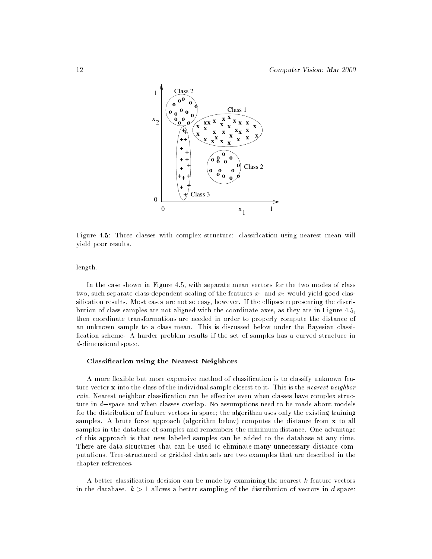

Figure 4.5: Three classes with complex structure: classication using nearest mean will yield poor results.

length.

In the case shown in Figure 4.5, with separate mean vectors for the two modes of class two, such separate class-dependent scaling of the features  $x_1$  and  $x_2$  would yield good classification results. Most cases are not so easy, however. If the ellipses representing the distribution of class samples are not aligned with the coordinate axes, as they are in Figure 4.5, then coordinate transformations are needed in order to properly compute the distance of an unknown sample to a class mean. This is discussed below under the Bayesian classi fication scheme. A harder problem results if the set of samples has a curved structure in d-dimensional space.

### Classication using the Nearest Neighbors

A more flexible but more expensive method of classification is to classify unknown feature vector x into the class of the individual sample closest to it. This is the *nearest neighbor*  $rule$ . Nearest neighbor classification can be effective even when classes have complex structure in  $d$ -space and when classes overlap. No assumptions need to be made about models for the distribution of feature vectors in space; the algorithm uses only the existing training samples. A brute force approach (algorithm below) computes the distance from x to all samples in the database of samples and remembers the minimum distance. One advantage of this approach is that new labeled samples can be added to the database at any time. There are data structures that can be used to eliminate many unnecessary distance computations. Tree-structured or gridded data sets are two examples that are described in the chapter references.

A better classication decision can be made by examining the nearest k feature vectors in the database.  $k > 1$  allows a better sampling of the distribution of vectors in d-space: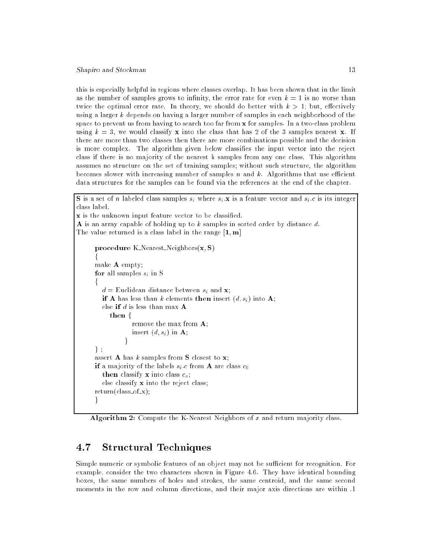this is especially helpful in regions where classes overlap. It has been shown that in the limit as the number of samples grows to infinity, the error rate for even  $k = 1$  is no worse than twice the optimal error rate. In theory, we should do better with  $k > 1$ ; but, effectively using a larger  $k$  depends on having a larger number of samples in each neighborhood of the space to prevent us from having to search too far from x for samples. In a two-class problem using  $k = 3$ , we would classify **x** into the class that has 2 of the 3 samples nearest **x**. If there are more than two classes then there are more combinations possible and the decision is more complex. The algorithm given below classifies the input vector into the reject class if there is no majority of the nearest k samples from any one class. This algorithm assumes no structure on the set of training samples; without such structure, the algorithm becomes slower with increasing number of samples  $n$  and  $k$ . Algorithms that use efficient data structures for the samples can be found via the references at the end of the chapter.

**S** is a set of n labeled class samples  $s_i$  where  $s_i$ :**x** is a feature vector and  $s_i.c$  is its integer class label. x is the unknown input feature vector to be classied. A is an array capable of holding up to  $k$  samples in sorted order by distance  $d$ . The value returned is a class label in the range  $[1, m]$ procedure K Nearest Neighbors $(x, S)$ <sup>f</sup> make A empty; for all samples  $s_i$  in S <sup>f</sup>

```
d = Euclidean distance between s_i and \mathbf{x};
  if A has less than k elements then insert (d, s_i) into A;
  else if d is less than max Athen \{remove the max from A;
             insert (d, s_i) in A;
           \mathcal{F}\} ;
assert A has k samples from S closest to x;
if a majority of the labels s_i.c from A are class c_0then classify x into class c_{\alpha};
  else classify x into the reject class;
return (class_of_x);ł
g
```
Algorithm 2: Compute the K-Nearest Neighbors of  $x$  and return majority class.

#### $4.7$ **Structural Techniques**

Simple numeric or symbolic features of an object may not be sufficient for recognition. For example, consider the two characters shown in Figure 4.6. They have identical bounding boxes, the same numbers of holes and strokes, the same centroid, and the same second moments in the row and column directions, and their major axis directions are within .1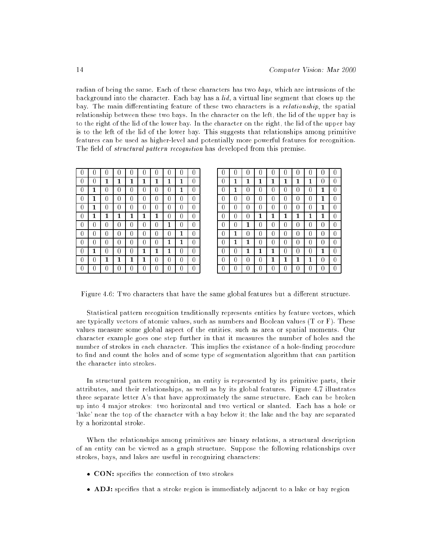radian of being the same. Each of these characters has two bays, which are intrusions of the background into the character. Each bay has a lid, a virtual line segment that closes up the bay. The main differentiating feature of these two characters is a *relationship*, the spatial relationship between these two bays. In the character on the left, the lid of the upper bay is to the right of the lid of the lower bay. In the character on the right, the lid of the upper bay is to the left of the lid of the lower bay. This suggests that relationships among primitive features can be used as higher-level and potentially more powerful features for recognition. The field of *structural pattern recognition* has developed from this premise.

|   |   |   |   | Ω |   |   |   |   |   |
|---|---|---|---|---|---|---|---|---|---|
| 0 | 0 | 1 | 1 | 1 | 1 | 1 | 1 | 1 | 0 |
| 0 | 1 | 0 | 0 | 0 | 0 | 0 | 0 | 1 | 0 |
| 0 | 1 | 0 | 0 | 0 | 0 | 0 | 0 | 0 | 0 |
| 0 | 1 | 0 | 0 | 0 | 0 | 0 | 0 | 0 | 0 |
| 0 | 1 | 1 | 1 | 1 | 1 | 1 | O | 0 | 0 |
| 0 | 0 | 0 | 0 | 0 | 0 | 0 | 1 | 0 | 0 |
| 0 | 0 | 0 | 0 | 0 | 0 | 0 | 0 | 1 | 0 |
| 0 | 0 | O | 0 | 0 | 0 | 0 | 1 | 1 | O |
| 0 | 1 | 0 | 0 | 0 | 1 | 1 | 1 | 0 | O |
| 0 | 0 | 1 | 1 | 1 | 1 | 0 | O | 0 | 0 |
| 0 |   |   |   | 0 | 0 | 0 |   | 0 | 0 |

| 0 | 1 | 1 | 1 | 1 | 1 | 1 | 1 | 0 | O |
|---|---|---|---|---|---|---|---|---|---|
| 0 | 1 | 0 | 0 | 0 | 0 | 0 | 0 | 1 | n |
| 0 | N | 0 | 0 | 0 | 0 | 0 | 0 | 1 | U |
| 0 | N | 0 | 0 | 0 | 0 | 0 | 0 | 1 |   |
| 0 | N | 0 | 1 | 1 | 1 | 1 | 1 | 1 |   |
| 0 | 0 | 1 | 0 | 0 | 0 | 0 | 0 | 0 |   |
| 0 | 1 | 0 | 0 | 0 | 0 | 0 | 0 | 0 |   |
| 0 | 1 | 1 | 0 | 0 | 0 | 0 | 0 | 0 | 0 |
| 0 | 0 | 1 | 1 | 1 | 0 | 0 | 0 | 1 | 0 |
| 0 | O | 0 | 0 | 1 | 1 | 1 | 1 | 0 |   |
| 0 |   |   | 0 | 0 | 0 | 0 | 0 | 0 | Ω |

Figure 4.6: Two characters that have the same global features but a different structure.

Statistical pattern recognition traditionally represents entities by feature vectors, which are typically vectors of atomic values, such as numbers and Boolean values (T or F). These values measure some global aspect of the entities, such as area or spatial moments. Our character example goes one step further in that it measures the number of holes and the number of strokes in each character. This implies the existance of a hole-finding procedure to find and count the holes and of some type of segmentation algorithm that can partition the character into strokes.

In structural pattern recognition, an entity is represented by its primitive parts, their attributes, and their relationships, as well as by its global features. Figure 4.7 illustrates three separate letter  $A$ 's that have approximately the same structure. Each can be broken up into 4 major strokes: two horizontal and two vertical or slanted. Each has a hole or `lake' near the top of the character with a bay below it; the lake and the bay are separated by a horizontal stroke.

When the relationships among primitives are binary relations, a structural description of an entity can be viewed as a graph structure. Suppose the following relationships over strokes, bays, and lakes are useful in recognizing characters:

- CON: specifies the connection of two strokes
- ADJ: species that a stroke region is immediately adjacent to a lake or bay region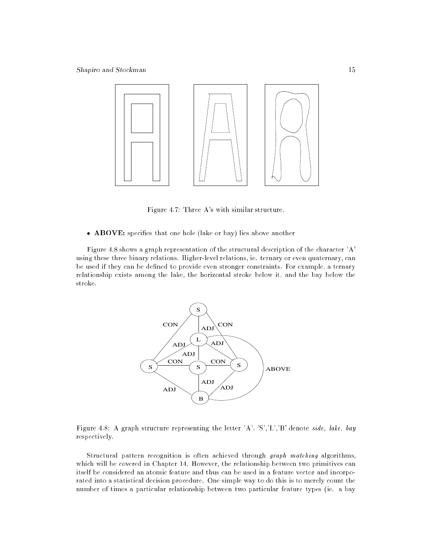

Figure 4.7: Three A's with similar structure.

• ABOVE: specifies that one hole (lake or bay) lies above another

Figure 4.8 shows a graph representation of the structural description of the character 'A' using these three binary relations. Higher-level relations, ie. ternary or even quaternary, can be used if they can be defined to provide even stronger constraints. For example, a ternary relationship exists among the lake, the horizontal stroke below it, and the bay below the stroke.



Figure 4.8: A graph structure representing the letter 'A'. 'S','L','B' denote side, lake, bay respectively.

Structural pattern recognition is often achieved through graph matching algorithms, which will be covered in Chapter 14. However, the relationship between two primitives can itself be considered an atomic feature and thus can be used in a feature vector and incorporated into a statistical decision procedure. One simple way to do this is to merely count the number of times a particular relationship between two particular feature types (ie. a bay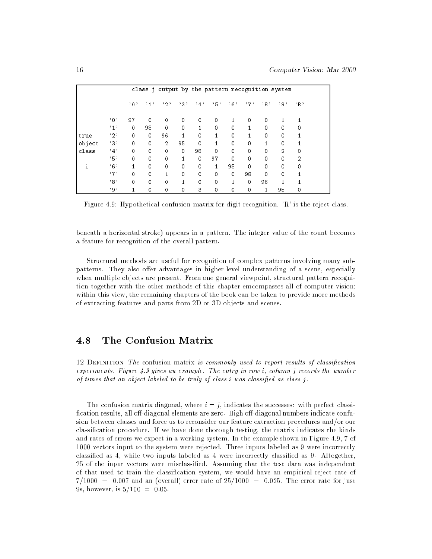|        |        |              |             | class j output by the pattern recognition system |             |             |             |              |             |             |                |                |
|--------|--------|--------------|-------------|--------------------------------------------------|-------------|-------------|-------------|--------------|-------------|-------------|----------------|----------------|
|        |        | ,0,          | ,1,         | ,2,                                              | 232         | ,4,         | ,5,         | ,6,          | ,7,         | ,8,         | ر و د          | R              |
|        | $,0$ , | 97           | 0           | $\mathbf{0}$                                     | 0           | $\mathbf 0$ | 0           | 1            | $\mathbf 0$ | $\mathbf 0$ |                |                |
|        | ,1,    | $\mathbf{0}$ | 98          | $\mathbf 0$                                      | $\mathbf 0$ | 1           | $\mathbf 0$ | $\mathbf{0}$ | 1           | $\mathbf 0$ | $\mathbf 0$    | $\mathbf 0$    |
| true   | , 2,   | 0            | $\mathbf 0$ | 96                                               |             | 0           | 1           | 0            | 1           | $\mathbf 0$ | 0              |                |
| object | ,3,    | $\mathbf{0}$ | $\mathbf 0$ | 2                                                | 95          | $\mathbf 0$ | 1           | $\mathbf 0$  | $\mathbf 0$ | 1           | $\mathbf 0$    |                |
| class  | ,4,    | 0            | 0           | 0                                                | $\mathbf 0$ | 98          | 0           | 0            | $\mathbf 0$ | $\mathbf 0$ | $\overline{2}$ | 0              |
|        | ,5,    | $\mathbf 0$  | 0           | 0                                                | 1           | $\mathbf 0$ | 97          | $\mathbf 0$  | $\mathbf 0$ | $\mathbf 0$ | 0              | $\overline{2}$ |
| i      | ,6,    | 1            | $\mathbf 0$ | $\mathbf 0$                                      | $\mathbf 0$ | $\mathbf 0$ | 1           | 98           | $\Omega$    | $\mathbf 0$ | $\Omega$       | $\Omega$       |
|        | ,7,    | 0            | 0           | 1                                                | 0           | 0           | 0           | $\mathbf 0$  | 98          | $\mathbf 0$ | $\mathbf 0$    |                |
|        | , 8,   | $\mathbf 0$  | $\mathbf 0$ | $\mathbf 0$                                      | 1           | 0           | $\mathbf 0$ | 1            | $\mathbf 0$ | 96          | 1              |                |
|        | , 9,   | 1            | 0           | $\mathbf{0}$                                     | $\mathbf 0$ | 3           | $\mathbf 0$ | $\mathbf{0}$ | $\mathbf 0$ | 1           | 95             | $\mathbf 0$    |

Figure 4.9: Hypothetical confusion matrix for digit recognition. 'R' is the reject class.

beneath a horizontal stroke) appears in a pattern. The integer value of the count becomes a feature for recognition of the overall pattern.

Structural methods are useful for recognition of complex patterns involving many subpatterns. They also offer advantages in higher-level understanding of a scene, especially when multiple objects are present. From one general viewpoint, structural pattern recognition together with the other methods of this chapter emcompasses all of computer vision: within this view, the remaining chapters of the book can be taken to provide more methods of extracting features and parts from 2D or 3D objects and scenes.

#### The Confusion Matrix 4.8

12 DEFINITION The confusion matrix is commonly used to report results of classification experiments. Figure 4.9 gives an example. The entry in row i, column j records the number of times that an object labeled to be truly of class i was classied as class j.

The confusion matrix diagonal, where  $i = j$ , indicates the successes: with perfect classification results, all off-diagonal elements are zero. High off-diagonal numbers indicate confusion between classes and force us to reconsider our feature extraction procedures and/or our classication procedure. If we have done thorough testing, the matrix indicates the kinds and rates of errors we expect in a working system. In the example shown in Figure 4.9, 7 of 1000 vectors input to the system were rejected. Three inputs labeled as 9 were incorrectly classied as 4, while two inputs labeled as 4 were incorrectly classied as 9. Altogether, 25 of the input vectors were misclassied. Assuming that the test data was independent of that used to train the classication system, we would have an empirical reject rate of  $7/1000 = 0.007$  and an (overall) error rate of  $25/1000 = 0.025$ . The error rate for just 9s, however, is  $5/100 = 0.05$ .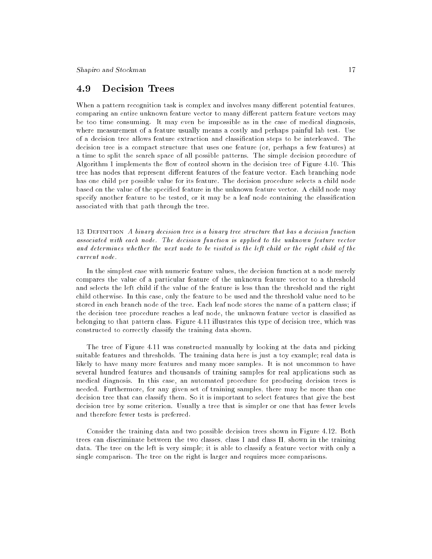#### **Decision Trees** 4.9

When a pattern recognition task is complex and involves many different potential features, comparing an entire unknown feature vector to many different pattern feature vectors may be too time consuming. It may even be impossible as in the case of medical diagnosis, where measurement of a feature usually means a costly and perhaps painful lab test. Use of a decision tree allows feature extraction and classication steps to be interleaved. The decision tree is a compact structure that uses one feature (or, perhaps a few features) at a time to split the search space of all possible patterns. The simple decision procedure of Algorithm 1 implements the flow of control shown in the decision tree of Figure 4.10. This tree has nodes that represent different features of the feature vector. Each branching node has one child per possible value for its feature. The decision procedure selects a child node based on the value of the specified feature in the unknown feature vector. A child node may specify another feature to be tested, or it may be a leaf node containing the classification associated with that path through the tree.

13 Definition A binary decision tree is a binary tree structure that has a decision function associated with each node. The decision function is applied to the unknown feature vector and determines whether the next node to be visited is the left child or the right child of the current node.

In the simplest case with numeric feature values, the decision function at a node merely compares the value of a particular feature of the unknown feature vector to a threshold and selects the left child if the value of the feature is less than the threshold and the right child otherwise. In this case, only the feature to be used and the threshold value need to be stored in each branch node of the tree. Each leaf node stores the name of a pattern class; if the decision tree procedure reaches a leaf node, the unknown feature vector is classied as belonging to that pattern class. Figure 4.11 illustrates this type of decision tree, which was constructed to correctly classify the training data shown.

The tree of Figure 4.11 was constructed manually by looking at the data and picking suitable features and thresholds. The training data here is just a toy example; real data is likely to have many more features and many more samples. It is not uncommon to have several hundred features and thousands of training samples for real applications such as medical diagnosis. In this case, an automated procedure for producing decision trees is needed. Furthermore, for any given set of training samples, there may be more than one decision tree that can classify them. So it is important to select features that give the best decision tree by some criterion. Usually a tree that is simpler or one that has fewer levels and therefore fewer tests is preferred.

Consider the training data and two possible decision trees shown in Figure 4.12. Both trees can discriminate between the two classes, class I and class II, shown in the training data. The tree on the left is very simple; it is able to classify a feature vector with only a single comparison. The tree on the right is larger and requires more comparisons.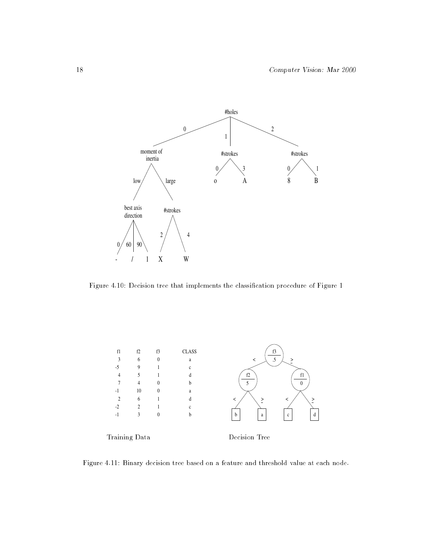

Figure 4.10: Decision tree that implements the classication procedure of Figure 1



Figure 4.11: Binary decision tree based on a feature and threshold value at each node.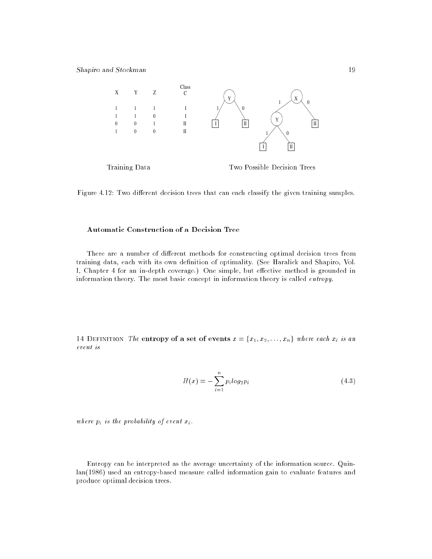

Training Data Two Possible Decision Trees

Figure 4.12: Two different decision trees that can each classify the given training samples.

### Automatic Construction of a Decision Tree

There are a number of different methods for constructing optimal decision trees from training data, each with its own definition of optimality. (See Haralick and Shapiro, Vol. I, Chapter 4 for an in-depth coverage.) One simple, but effective method is grounded in information theory. The most basic concept in information theory is called entropy.

14 DEFINITION The entropy of a set of events  $x = \{x_1, x_2, \ldots, x_n\}$  where each  $x_i$  is an event is

$$
H(x) = -\sum_{i=1}^{n} p_i \log_2 p_i \tag{4.3}
$$

where  $p_i$  is the probability of event  $x_i$ .

Entropy can be interpreted as the average uncertainty of the information source. Quinlan(1986) used an entropy-based measure called information gain to evaluate features and produce optimal decision trees.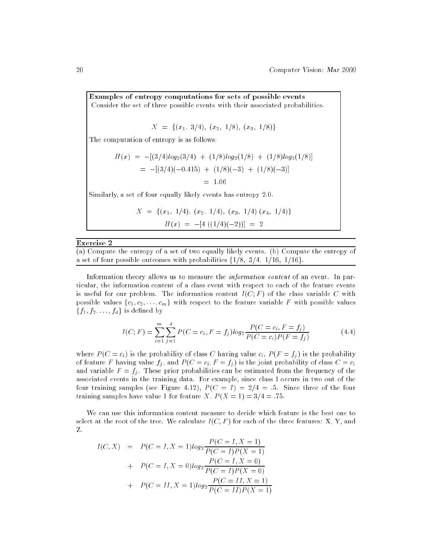Examples of entropy computations for sets of possible events Consider the set of three possible events with their associated probabilities.

$$
X = \{(x_1, 3/4), (x_2, 1/8), (x_3, 1/8)\}\
$$

The computation of entropy is as follows:

$$
H(x) = -[(3/4)log_2(3/4) + (1/8)log_2(1/8) + (1/8)log_2(1/8)]
$$
  
= -[(3/4)(-0.415) + (1/8)(-3) + (1/8)(-3)]  
= 1.06

Similarly, a set of four equally likely events has entropy 2.0.

$$
X = \{ (x_1, 1/4), (x_2, 1/4), (x_3, 1/4) (x_4, 1/4) \}
$$

$$
H(x) = -[4 ((1/4)(-2))] = 2
$$

### Exercise 2

(a) Compute the entropy of a set of two equally likely events. (b) Compute the entropy of a set of four possible outcomes with probabilities  $\{1/8, 3/4, 1/16, 1/16\}.$ 

Information theory allows us to measure the *information content* of an event. In particular, the information content of a class event with respect to each of the feature events is useful for our problem. The information content  $I(C; F)$  of the class variable C with possible values  $\{c_1, c_2, \ldots, c_m\}$  with respect to the feature variable F with possible values  $\{f_1, f_2, \ldots, f_d\}$  is defined by

$$
I(C;F) = \sum_{i=1}^{m} \sum_{j=1}^{d} P(C = c_i, F = f_j) \log_2 \frac{P(C = c_i, F = f_j)}{P(C = c_i)P(F = f_j)}
$$
(4.4)

where  $P(C = c_i)$  is the probability of class C having value  $c_i$ ,  $P(F = f_j)$  is the probability of feature F having value  $f_i$ , and  $P(C = c_i, F = f_i)$  is the joint probability of class  $C = c_i$ and variable  $F = f_i$ . These prior probabilities can be estimated from the frequency of the associated events in the training data. For example, since class I occurs in two out of the four training samples (see Figure 4.12),  $P(C = I) = 2/4 = .5$ . Since three of the four training samples have value 1 for feature X,  $P(X = 1) = 3/4 = .75$ .

We can use this information content measure to decide which feature is the best one to select at the root of the tree. We calculate  $I(C, F)$  for each of the three features: X, Y, and Z.

$$
I(C, X) = P(C = I, X = 1)log_2 \frac{P(C = I, X = 1)}{P(C = I)P(X = 1)}
$$
  
+ 
$$
P(C = I, X = 0)log_2 \frac{P(C = I, X = 0)}{P(C = I)P(X = 0)}
$$
  
+ 
$$
P(C = II, X = 1)log_2 \frac{P(C = II, X = 1)}{P(C = II)P(X = 1)}
$$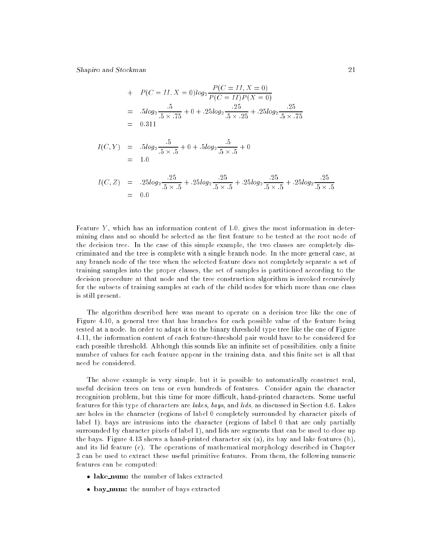+ 
$$
P(C = II, X = 0)log_2 \frac{P(C = II, X = 0)}{P(C = II)P(X = 0)}
$$
  
=  $5log_2 \frac{.5}{.5 \times .75} + 0 + .25log_2 \frac{.25}{.5 \times .25} + .25log_2 \frac{.25}{.5 \times .75}$   
= 0.311

$$
I(C, Y) = .5log_2 \frac{.5}{.5 \times .5} + 0 + .5log_2 \frac{.5}{.5 \times .5} + 0
$$
  
= 1.0

$$
I(C, Z) = .25log_2 \frac{.25}{.5 \times .5} + .25log_2 \frac{.25}{.5 \times .5} + .25log_2 \frac{.25}{.5 \times .5} + .25log_2 \frac{.25}{.5 \times .5}
$$
  
= 0.0

Feature  $Y$ , which has an information content of 1.0, gives the most information in determining class and so should be selected as the first feature to be tested at the root node of the decision tree. In the case of this simple example, the two classes are completely discriminated and the tree is complete with a single branch node. In the more general case, at any branch node of the tree when the selected feature does not completely separate a set of training samples into the proper classes, the set of samples is partitioned according to the decision procedure at that node and the tree construction algorithm is invoked recursively for the subsets of training samples at each of the child nodes for which more than one class is still present.

The algorithm described here was meant to operate on a decision tree like the one of Figure 4.10, a general tree that has branches for each possible value of the feature being tested at a node. In order to adapt it to the binary threshold type tree like the one of Figure 4.11, the information content of each feature-threshold pair would have to be considered for each possible threshold. Although this sounds like an infinite set of possibilities, only a finite number of values for each feature appear in the training data, and this finite set is all that

The above example is very simple, but it is possible to automatically construct real, useful decision trees on tens or even hundreds of features. Consider again the character recognition problem, but this time for more difficult, hand-printed characters. Some useful features for this type of characters are lakes, bays, and lids, as discussed in Section 4.6. Lakes are holes in the character (regions of label 0 completely surrounded by character pixels of label 1), bays are intrusions into the character (regions of label 0 that are only partially surrounded by character pixels of label 1), and lids are segments that can be used to close up the bays. Figure 4.13 shows a hand-printed character six (a), its bay and lake features (b), and its lid feature (c). The operations of mathematical morphology described in Chapter 3 can be used to extract these useful primitive features. From them, the following numeric features can be computed:

- lake\_num: the number of lakes extracted
- bay\_num: the number of bays extracted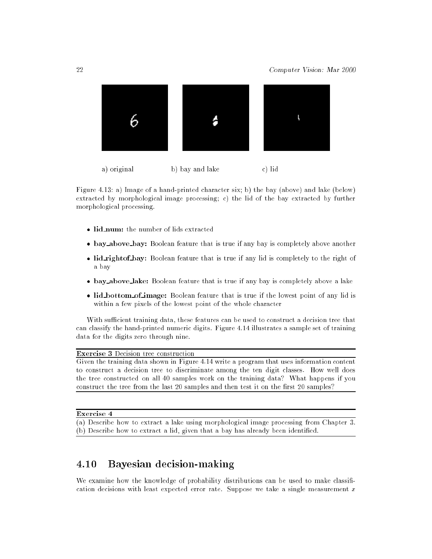

Figure 4.13: a) Image of a hand-printed character six; b) the bay (above) and lake (below) extracted by morphological image processing; c) the lid of the bay extracted by further morphological processing.

- lid\_num: the number of lids extracted
- bay above bay: Boolean feature that is true if any bay is completely above another
- lid rightof bay: Boolean feature that is true if any lid is completely to the right of a bay
- $\bullet$  bay above lake: Boolean feature that is true if any bay is completely above a lake
- lid bottom of image: Boolean feature that is true if the lowest point of any lid is within a few pixels of the lowest point of the whole character

With sufficient training data, these features can be used to construct a decision tree that can classify the hand-printed numeric digits. Figure 4.14 illustrates a sample set of training data for the digits zero through nine.

Exercise 3 Decision tree construction

Given the training data shown in Figure 4.14 write a program that uses information content to construct a decision tree to discriminate among the ten digit classes. How well does the tree constructed on all 40 samples work on the training data? What happens if you construct the tree from the last 20 samples and then test it on the first 20 samples?

Exercise 4

(a) Describe how to extract a lake using morphological image processing from Chapter 3. (b) Describe how to extract a lid, given that a bay has already been identified.

#### 4.10 Bayesian decision-making  $4.10\,$

We examine how the knowledge of probability distributions can be used to make classification decisions with least expected error rate. Suppose we take a single measurement  $x$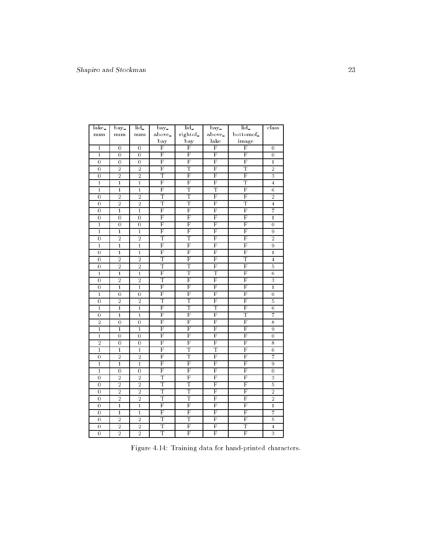| lake_          | bay.             | lid_             | bay.                    | lid_                    | $\overline{bay}$        | $\overline{\text{lid}}$ | class                     |
|----------------|------------------|------------------|-------------------------|-------------------------|-------------------------|-------------------------|---------------------------|
| num            | num              | num              | above_                  | right of_               | above.                  | bottomof_               |                           |
|                |                  |                  | bay                     | bay                     | lake                    | image                   |                           |
| $\mathbf{1}$   | $\overline{0}$   | $\overline{0}$   | F                       | F                       | F                       | F                       | $\overline{0}$            |
| $\mathbf{1}$   | $\overline{0}$   | $\overline{0}$   | F                       | F                       | F                       | F                       | $\mathbf 0$               |
| $\overline{0}$ | $\overline{0}$   | $\overline{0}$   | F                       | F                       | F                       | F                       | $\bf{1}$                  |
| $\overline{0}$ | $\overline{2}$   | $\overline{2}$   | F                       | Т                       | F                       | T                       | $\overline{2}$            |
| $\mathbf 0$    | $\overline{2}$   | $\overline{2}$   | Т                       | F                       | F                       | F                       | 3                         |
| $\mathbf{1}$   | $\mathbf{1}$     | $\mathbf{1}$     | F                       | F                       | F                       | T                       | 4                         |
| $\overline{1}$ | $\overline{1}$   | $\overline{1}$   | F                       | T                       | T                       | $\overline{\mathrm{F}}$ | $\overline{6}$            |
| $\mathbf 0$    | $\overline{2}$   | $\overline{2}$   | Т                       | Т                       | F                       | F                       | $\overline{2}$            |
| $\mathbf 0$    | $\overline{2}$   | $\overline{2}$   | Τ                       | Τ                       | F                       | Τ                       | $\overline{\mathbf{4}}$   |
| $\mathbf 0$    | $\overline{1}$   | $\overline{1}$   | F                       | F                       | F                       | $\overline{\mathrm{F}}$ | 7                         |
| $\overline{0}$ | $\mathbf 0$      | $\mathbf 0$      | F                       | F                       | F                       | F                       | $\overline{1}$            |
| $\mathbf{1}$   | $\mathbf 0$      | $\overline{0}$   | F                       | F                       | F                       | F                       | $\mathbf 0$               |
| $\overline{1}$ | $\overline{1}$   | $\overline{1}$   | F                       | $\overline{\mathrm{F}}$ | F                       | $\overline{\mathrm{F}}$ | $\overline{9}$            |
| $\overline{0}$ | $\overline{2}$   | $\overline{2}$   | Т                       | Т                       | F                       | F                       | $\overline{2}$            |
| $\mathbf{1}$   | $\mathbf{1}$     | $\mathbf{1}$     | F                       | F                       | F                       | F                       | 9                         |
| $\mathbf 0$    | $\overline{1}$   | $\overline{1}$   | F                       | F                       | $\overline{\mathrm{F}}$ | $\overline{\mathrm{F}}$ | $\overline{1}$            |
| $\overline{0}$ | $\overline{2}$   | $\overline{2}$   | Т                       | F                       | F                       | Т                       | $\overline{4}$            |
| $\mathbf 0$    | $\overline{2}$   | $\overline{2}$   | Т                       | Τ                       | F                       | F                       | 5                         |
| $\overline{1}$ | $\overline{1}$   | $\overline{1}$   | F                       | Т                       | Т                       | F                       | $\,6$                     |
| $\overline{0}$ | $\overline{2}$   | $\overline{2}$   | T                       | F                       | F                       | $\overline{\mathrm{F}}$ | 3                         |
| $\mathbf 0$    | $\mathbf{1}$     | $\mathbf{1}$     | F                       | F                       | F                       | F                       | $\mathbf{1}$              |
| $\overline{1}$ | $\mathbf 0$      | $\mathbf 0$      | F                       | F                       | F                       | $\overline{\mathrm{F}}$ | $\mathbf 0$               |
| $\mathbf 0$    | $\overline{2}$   | $\overline{2}$   | Т                       | Т                       | F                       | F                       | 5                         |
| $\mathbf{1}$   | $\mathbf{1}$     | $\mathbf{1}$     | F                       | Т                       | Т                       | F                       | $\,$ 6                    |
| $\mathbf 0$    | $\mathbf{1}$     | $\mathbf{1}$     | F                       | F                       | F                       | Т                       | 7                         |
| $\overline{2}$ | $\overline{0}$   | $\overline{0}$   | F                       | $\overline{\mathrm{F}}$ | $\overline{\mathrm{F}}$ | $\overline{\mathrm{F}}$ | 8                         |
| $\mathbf{1}$   | $\mathbf{1}$     | $\mathbf{1}$     | F                       | F                       | F                       | F                       | 9                         |
| $\overline{1}$ | $\mathbf 0$      | $\overline{0}$   | F                       | F                       | F                       | $\overline{\mathrm{F}}$ | $\mathbf 0$               |
| $\overline{2}$ | $\overline{0}$   | $\overline{0}$   | $\overline{\mathrm{F}}$ | F                       | F                       | F                       | 8                         |
| $\mathbf{1}$   | $\mathbf{1}$     | $\mathbf{1}$     | F                       | T                       | T                       | $_{\rm F}$              | $\,6$                     |
| $\overline{0}$ | $\overline{2}$   | $\overline{2}$   | F                       | Т                       | F                       | F                       | 7                         |
| $\overline{1}$ | $\overline{1}$   | $\overline{1}$   | F                       | $\overline{\mathrm{F}}$ | F                       | F                       | 9                         |
| $\mathbf{1}$   | $\boldsymbol{0}$ | $\boldsymbol{0}$ | F                       | F                       | F                       | F                       | $\boldsymbol{0}$          |
| $\overline{0}$ | $\overline{2}$   | $\overline{2}$   | Т                       | F                       | F                       | F                       | 3                         |
| $\overline{0}$ | $\overline{2}$   | $\overline{2}$   | T                       | T                       | $\overline{\mathrm{F}}$ | $\overline{\mathrm{F}}$ | 5                         |
| $\mathbf 0$    | $\overline{2}$   | $\overline{2}$   | T                       | T                       | $_{\rm F}$              | $_{\rm F}$              | $\overline{2}$            |
| $\mathbf 0$    | $\overline{2}$   | $\overline{2}$   | Т                       | Т                       | F                       | F                       | $\overline{2}$            |
| $\mathbf 0$    | $\overline{1}$   | $\overline{1}$   | F                       | F                       | F                       | $\overline{\mathrm{F}}$ | $\mathbf{1}$              |
| 0              | $\mathbf 1$      | $\mathbf{1}$     | F                       | F                       | F                       | F                       | 7                         |
| $\mathbf 0$    | $\overline{2}$   | $\overline{2}$   | T                       | T                       | F                       | $\overline{\mathrm{F}}$ | 5                         |
| $\overline{0}$ | $\overline{2}$   | $\overline{2}$   | Τ                       | F                       | F                       | Τ                       | $\overline{4}$            |
| $\overline{0}$ | $\overline{2}$   | $\overline{2}$   | Τ                       | F                       | F                       | $\overline{\mathrm{F}}$ | $\overline{\overline{3}}$ |

Figure 4.14: Training data for hand-printed characters.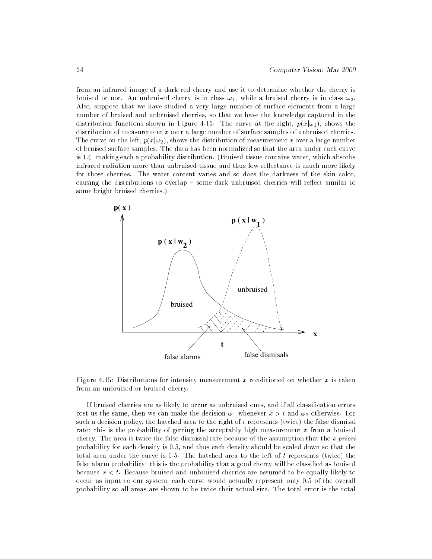from an infrared image of a dark red cherry and use it to determine whether the cherry is bruised or not. An unbruised cherry is in class  $\omega_1$ , while a bruised cherry is in class  $\omega_2$ . Also, suppose that we have studied a very large number of surface elements from a large number of bruised and unbruised cherries, so that we have the knowledge captured in the distribution functions shown in Figure 4.15. The curve at the right,  $p(x|\omega_1)$ , shows the distribution of measurement x over a large number of surface samples of unbruised cherries. The curve on the left,  $p(x|\omega_2)$ , shows the distribution of measurement x over a large number of bruised surface samples. The data has been normalized so that the area under each curve is 1.0, making each a probability distribution. (Bruised tissue contains water, which absorbs infrared radiation more than unbruised tissue and thus low reflectance is much more likely for those cherries. The water content varies and so does the darkness of the skin color, causing the distributions to overlap - some dark unbruised cherries will reflect similar to some bright bruised cherries.)



Figure 4.15: Distributions for intensity measurement x conditioned on whether  $x$  is taken from an unbruised or bruised cherry.

If bruised cherries are as likely to occur as unbruised ones, and if all classication errors cost us the same, then we can make the decision  $\omega_1$  whenever  $x > t$  and  $\omega_2$  otherwise. For such a decision policy, the hatched area to the right of  $t$  represents (twice) the false dismisal rate: this is the probability of getting the acceptably high measurement x from a bruised cherry. The area is twice the false dismissal rate because of the assumption that the a priori probability for each density is 0.5, and thus each density should be scaled down so that the total area under the curve is 0.5. The hatched area to the left of t represents (twice) the false alarm probability: this is the probability that a good cherry will be classified as bruised because  $x < t$ . Because bruised and unbruised cherries are assumed to be equally likely to occur as input to our system, each curve would actually represent only 0.5 of the overall probability so all areas are shown to be twice their actual size. The total error is the total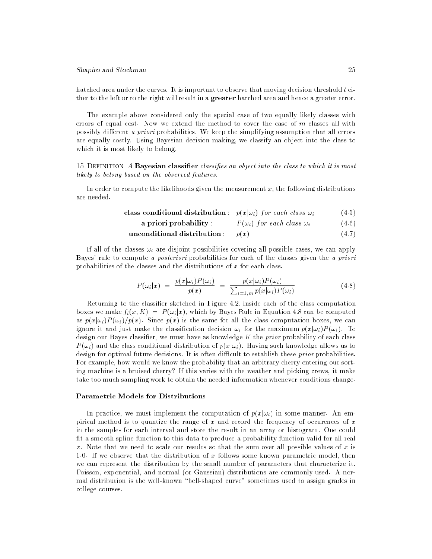hatched area under the curves. It is important to observe that moving decision threshold  $t$  either to the left or to the right will result in a greater hatched area and hence a greater error.

The example above considered only the special case of two equally likely classes with errors of equal cost. Now we extend the method to cover the case of  $m$  classes all with possibly different a priori probabilities. We keep the simplifying assumption that all errors are equally costly. Using Bayesian decision-making, we classify an object into the class to which it is most likely to belong.

15 DEFINITION A **Bayesian classifier** classifies an object into the class to which it is most likely to belong based on the observed features.

In order to compute the likelihoods given the measurement  $x$ , the following distributions are needed.

class conditional distribution: 
$$
p(x|\omega_i)
$$
 for each class  $\omega_i$  (4.5)

a priori probability is probability in the case of the contract of the contract of  $\mathcal{U}$ 

$$
unconditional distribution: p(x)
$$
 (4.7)

If all of the classes  $\omega_i$  are disjoint possibilities covering all possible cases, we can apply Bayes' rule to compute a posteriori probabilities for each of the classes given the a priori probabilities of the classes and the distributions of  $x$  for each class.

$$
P(\omega_i|x) = \frac{p(x|\omega_i)P(\omega_i)}{p(x)} = \frac{p(x|\omega_i)P(\omega_i)}{\sum_{i=1,m} p(x|\omega_i)P(\omega_i)} \tag{4.8}
$$

Returning to the classier sketched in Figure 4.2, inside each of the class computation boxes we make  $f_i(x, K) = P(\omega_i|x)$ , which by Bayes Rule in Equation 4.8 can be computed as  $p(x|\omega_i)P(\omega_i)/p(x)$ . Since  $p(x)$  is the same for all the class computation boxes, we can ignore it and just make the classification decision  $\omega_i$  for the maximum  $p(x|\omega_i)P(\omega_i)$ . To design our Bayes classifier, we must have as knowledge  $K$  the *prior* probability of each class  $P(\omega_i)$  and the class conditional distribution of  $p(x|\omega_i)$ . Having such knowledge allows us to design for optimal future decisions. It is often difficult to establish these *prior* probabilities. For example, how would we know the probability that an arbitrary cherry entering our sorting machine is a bruised cherry? If this varies with the weather and picking crews, it make take too much sampling work to obtain the needed information whenever conditions change.

### Parametric Models for Distributions

In practice, we must implement the computation of  $p(x|\omega_i)$  in some manner. An empirical method is to quantize the range of  $x$  and record the frequency of occurences of  $x$ in the samples for each interval and store the result in an array or histogram. One could fit a smooth spline function to this data to produce a probability function valid for all real x. Note that we need to scale our results so that the sum over all possible values of x is 1.0. If we observe that the distribution of x follows some known parametric model, then we can represent the distribution by the small number of parameters that characterize it. Poisson, exponential, and normal (or Gaussian) distributions are commonly used. A normal distribution is the well-known "bell-shaped curve" sometimes used to assign grades in college courses.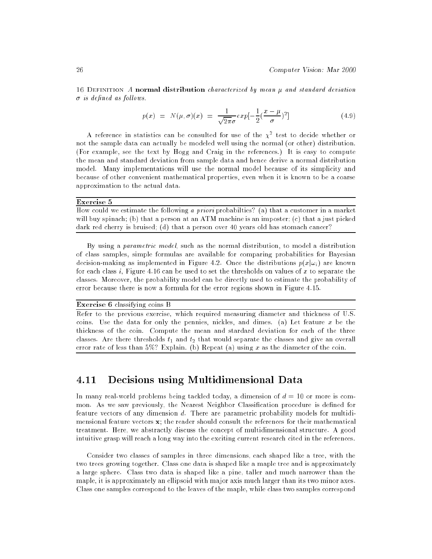16 DEFINITION A normal distribution characterized by mean  $\mu$  and standard deviation  $\sigma$  is defined as follows.

$$
p(x) = N(\mu, \sigma)(x) = \frac{1}{\sqrt{2\pi}\sigma} exp[-\frac{1}{2}(\frac{x-\mu}{\sigma})^2]
$$
\n(4.9)

A reference in statistics can be consulted for use of the  $\chi^+$  test to decide whether or not the sample data can actually be modeled well using the normal (or other) distribution. (For example, see the text by Hogg and Craig in the references.) It is easy to compute the mean and standard deviation from sample data and hence derive a normal distribution model. Many implementations will use the normal model because of its simplicity and because of other convenient mathematical properties, even when it is known to be a coarse approximation to the actual data.

### Exercise 5

How could we estimate the following a priori probabilties? (a) that a customer in a market will buy spinach; (b) that a person at an ATM machine is an imposter; (c) that a just picked dark red cherry is bruised; (d) that a person over 40 years old has stomach cancer?

By using a *parametric model*, such as the normal distribution, to model a distribution of class samples, simple formulas are available for comparing probabilities for Bayesian decision-making as implemented in Figure 4.2. Once the distributions  $p(x|\omega_i)$  are known for each class i, Figure 4.16 can be used to set the thresholds on values of x to separate the classes. Moreover, the probability model can be directly used to estimate the probability of error because there is now a formula for the error regions shown in Figure 4.15.

Exercise 6 classifying coins B

Refer to the previous exercise, which required measuring diameter and thickness of U.S. coins. Use the data for only the pennies, nickles, and dimes. (a) Let feature  $x$  be the thickness of the coin. Compute the mean and stardard deviation for each of the three classes. Are there thresholds  $t_1$  and  $t_2$  that would separate the classes and give an overall error rate of less than  $5\%$ ? Explain. (b) Repeat (a) using x as the diameter of the coin.

# 4.11 Decisions using Multidimensional Data

In many real-world problems being tackled today, a dimension of  $d = 10$  or more is common. As we saw previously, the Nearest Neighbor Classification procedure is defined for feature vectors of any dimension d. There are parametric probability models for multidimensional feature vectors  $\mathbf{x}$ ; the reader should consult the references for their mathematical treatment. Here, we abstractly discuss the concept of multidimensional structure. A good intuitive grasp will reach a long way into the exciting current research cited in the references.

Consider two classes of samples in three dimensions, each shaped like a tree, with the two trees growing together. Class one data is shaped like a maple tree and is approximately a large sphere. Class two data is shaped like a pine, taller and much narrower than the maple, it is approximately an ellipsoid with major axis much larger than its two minor axes. Class one samples correspond to the leaves of the maple, while class two samples correspond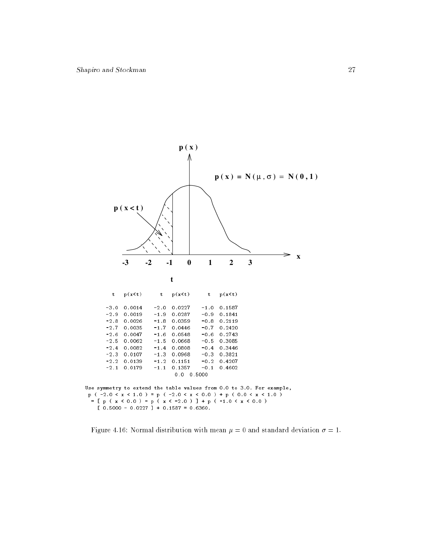

Figure 4.16: Normal distribution with mean  $\mu = 0$  and standard deviation  $\sigma = 1$ .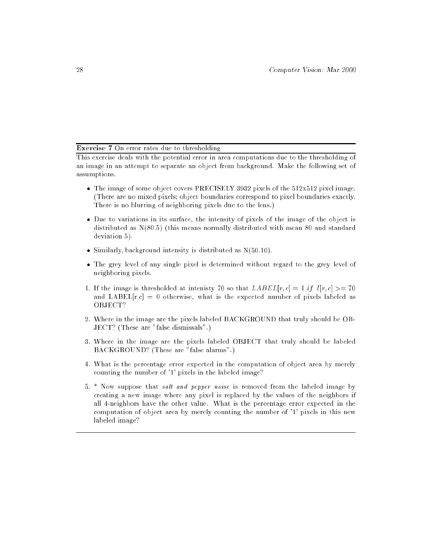### Exercise 7 On error rates due to thresholding

This exercise deals with the potential error in area computations due to the thresholding of an image in an attempt to separate an object from background. Make the following set of assumptions.

- $\bullet$  The image of some object covers PRECISELY 3932 pixels of the  $512x512$  pixel image. (There are no mixed pixels; object boundaries correspond to pixel boundaries exactly. There is no blurring of neighboring pixels due to the lens.)
- Due to variations in its surface, the intensity of pixels of the image of the object is distributed as N(80,5) (this means normally distributed with mean 80 and standard deviation 5).
- $\bullet$  Similarly, background intensity is distributed as  $N(50,10)$ .
- The grey level of any single pixel is determined without regard to the grey level of neighboring pixels.
- 1. If the image is thresholded at intensity 70 so that  $LABEL[r, c] = 1$  if  $I[r, c] > = 70$ and LABEL[ $r,c$ ] = 0 otherwise, what is the expected number of pixels labeled as OBJECT?
- 2. Where in the image are the pixels labeled BACKGROUND that truly should be OB-JECT? (These are "false dismissals".)
- 3. Where in the image are the pixels labeled OBJECT that truly should be labeled BACKGROUND? (These are "false alarms".)
- 4. What is the percentage error expected in the computation of object area by merely counting the number of '1' pixels in the labeled image?
- 5.  $*$  Now suppose that *salt and pepper noise* is removed from the labeled image by creating a new image where any pixel is replaced by the values of the neighbors if all 4-neighbors have the other value. What is the percentage error expected in the computation of object area by merely counting the number of '1' pixels in this new labeled image?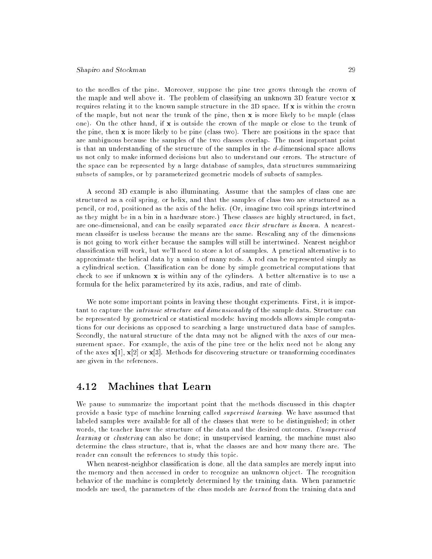to the needles of the pine. Moreover, suppose the pine tree grows through the crown of the maple and well above it. The problem of classifying an unknown 3D feature vector x requires relating it to the known sample structure in the 3D space. If  $x$  is within the crown of the maple, but not near the trunk of the pine, then  $x$  is more likely to be maple (class one). On the other hand, if  $x$  is outside the crown of the maple or close to the trunk of the pine, then x is more likely to be pine (class two). There are positions in the space that are ambiguous because the samples of the two classes overlap. The most important point is that an understanding of the structure of the samples in the d-dimensional space allows us not only to make informed decisions but also to understand our errors. The structure of the space can be represented by a large database of samples, data structures summarizing subsets of samples, or by parameterized geometric models of subsets of samples.

A second 3D example is also illuminating. Assume that the samples of class one are structured as a coil spring, or helix, and that the samples of class two are structured as a pencil, or rod, positioned as the axis of the helix. (Or, imagine two coil springs intertwined as they might be in a bin in a hardware store.) These classes are highly structured, in fact, are one-dimensional, and can be easily separated once their structure is known. A nearestmean classifer is useless because the means are the same. Rescaling any of the dimensions is not going to work either because the samples will still be intertwined. Nearest neighbor classication will work, but we'll need to store a lot of samples. A practical alternative is to approximate the helical data by a union of many rods. A rod can be represented simply as a cylindrical section. Classication can be done by simple geometrical computations that check to see if unknown  $x$  is within any of the cylinders. A better alternative is to use a formula for the helix parameterized by its axis, radius, and rate of climb.

We note some important points in leaving these thought experiments. First, it is important to capture the intrinsic structure and dimensionality of the sample data. Structure can be represented by geometrical or statistical models: having models allows simple computations for our decisions as opposed to searching a large unstructured data base of samples. Secondly, the natural structure of the data may not be aligned with the axes of our measurement space. For example, the axis of the pine tree or the helix need not be along any of the axes  $\mathbf{x}[1], \mathbf{x}[2]$  or  $\mathbf{x}[3]$ . Methods for discovering structure or transforming coordinates are given in the references.

#### Machines that Learn  $\bf 4.12$

We pause to summarize the important point that the methods discussed in this chapter provide a basic type of machine learning called supervised learning. We have assumed that labeled samples were available for all of the classes that were to be distinguished; in other words, the teacher knew the structure of the data and the desired outcomes. Unsupervised learning or clustering can also be done; in unsupervised learning, the machine must also determine the class structure, that is, what the classes are and how many there are. The reader can consult the references to study this topic.

When nearest-neighbor classication is done, all the data samples are merely input into the memory and then accessed in order to recognize an unknown object. The recognition behavior of the machine is completely determined by the training data. When parametric models are used, the parameters of the class models are learned from the training data and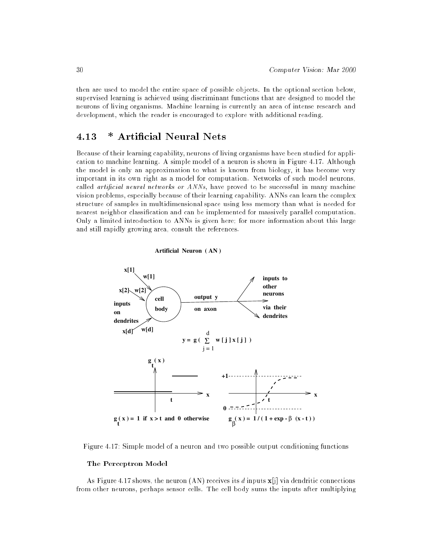then are used to model the entire space of possible objects. In the optional section below, supervised learning is achieved using discriminant functions that are designed to model the neurons of living organisms. Machine learning is currently an area of intense research and development, which the reader is encouraged to explore with additional reading.

#### 4.13 ∗ **Artificial Neural Nets**

Because of their learning capability, neurons of living organisms have been studied for application to machine learning. A simple model of a neuron is shown in Figure 4.17. Although the model is only an approximation to what is known from biology, it has become very important in its own right as a model for computation. Networks of such model neurons, called *artificial neural networks or ANNs*, have proved to be successful in many machine vision problems, especially because of their learning capability. ANNs can learn the complex structure of samples in multidimensional space using less memory than what is needed for nearest neighbor classication and can be implemented for massively parallel computation. Only a limited introduction to ANNs is given here; for more information about this large and still rapidly growing area, consult the references.





Figure 4.17: Simple model of a neuron and two possible output conditioning functions

### The Perceptron Model

As Figure 4.17 shows, the neuron  $(AN)$  receives its d inputs  $\mathbf{x}[i]$  via dendritic connections from other neurons, perhaps sensor cells. The cell body sums the inputs after multiplying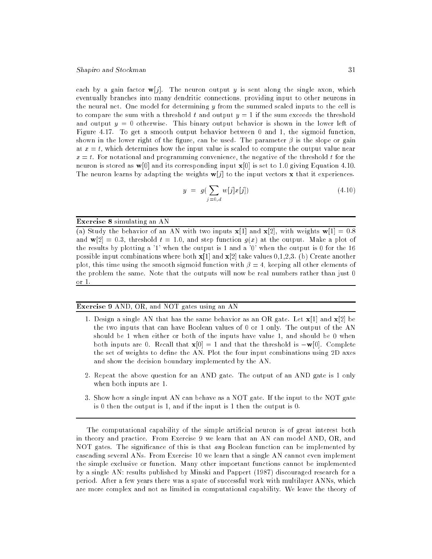each by a gain factor  $\mathbf{w}[j]$ . The neuron output y is sent along the single axon, which eventually branches into many dendritic connections, providing input to other neurons in the neural net. One model for determining y from the summed scaled inputs to the cell is to compare the sum with a threshold t and output  $y = 1$  if the sum exceeds the threshold and output  $y = 0$  otherwise. This binary output behavior is shown in the lower left of Figure 4.17. To get a smooth output behavior between 0 and 1, the sigmoid function, shown in the lower right of the figure, can be used. The parameter  $\beta$  is the slope or gain at  $x = t$ , which determines how the input value is scaled to compute the output value near  $x = t$ . For notational and programming convenience, the negative of the threshold t for the neuron is stored as  $\mathbf{w}[0]$  and its corresponding input  $\mathbf{x}[0]$  is set to 1.0 giving Equation 4.10. The neuron learns by adapting the weights  $w[j]$  to the input vectors x that it experiences.

$$
y = g(\sum_{j=0,d} w[j]x[j])
$$
\n(4.10)

### Exercise 8 simulating an AN

(a) Study the behavior of an AN with two inputs  $\mathbf{x}[1]$  and  $\mathbf{x}[2]$ , with weights  $\mathbf{w}[1] = 0.8$ and  $\mathbf{w}[2] = 0.3$ , threshold  $t = 1.0$ , and step function  $g(x)$  at the output. Make a plot of the results by plotting a '1' when the output is 1 and a '0' when the output is 0 for the 16 possible input combinations where both  $\mathbf{x}[1]$  and  $\mathbf{x}[2]$  take values 0,1,2,3. (b) Create another plot, this time using the smooth sigmoid function with  $\beta = 4$ , keeping all other elements of the problem the same. Note that the outputs will now be real numbers rather than just 0 or 1.

### Exercise 9 AND, OR, and NOT gates using an AN

- 1. Design a single AN that has the same behavior as an OR gate. Let  $\mathbf{x}[1]$  and  $\mathbf{x}[2]$  be the two inputs that can have Boolean values of 0 or 1 only. The output of the AN should be 1 when either or both of the inputs have value 1, and should be 0 when both inputs are 0. Recall that  $\mathbf{x}[0] = 1$  and that the threshold is  $-\mathbf{w}[0]$ . Complete the set of weights to define the AN. Plot the four input combinations using 2D axes and show the decision boundary implemented by the AN.
- 2. Repeat the above question for an AND gate. The output of an AND gate is 1 only when both inputs are 1.
- 3. Show how a single input AN can behave as a NOT gate. If the input to the NOT gate is 0 then the output is 1, and if the input is 1 then the output is 0.

The computational capability of the simple articial neuron is of great interest both in theory and practice. From Exercise 9 we learn that an AN can model AND, OR, and NOT gates. The significance of this is that  $\arg B$  Boolean function can be implemented by cascading several ANs. From Exercise 10 we learn that a single AN cannot even implement the simple exclusive or function. Many other important functions cannot be implemented by a single AN: results published by Minski and Pappert (1987) discouraged research for a period. After a few years there was a spate of successful work with multilayer ANNs, which are more complex and not as limited in computational capability. We leave the theory of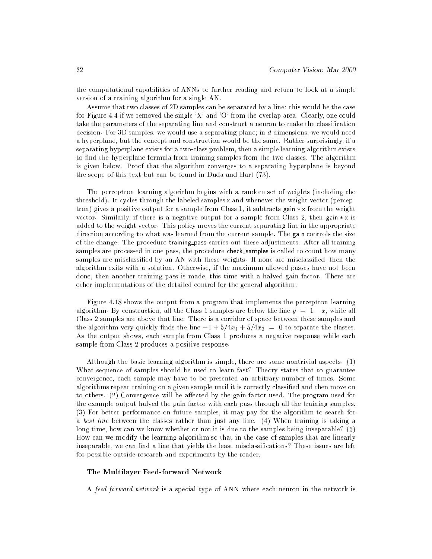the computational capabilities of ANNs to further reading and return to look at a simple version of a training algorithm for a single AN.

Assume that two classes of 2D samples can be separated by a line: this would be the case for Figure 4.4 if we removed the single 'X' and 'O' from the overlap area. Clearly, one could take the parameters of the separating line and construct a neuron to make the classification decision. For 3D samples, we would use a separating plane; in  $d$  dimensions, we would need a hyperplane, but the concept and construction would be the same. Rather surprisingly, if a separating hyperplane exists for a two-class problem, then a simple learning algorithm exists to find the hyperplane formula from training samples from the two classes. The algorithm is given below. Proof that the algorithm converges to a separating hyperplane is beyond the scope of this text but can be found in Duda and Hart (73).

The perceptron learning algorithm begins with a random set of weights (including the threshold). It cycles through the labeled samples <sup>x</sup> and whenever the weight vector (perceptron) gives a positive output for a sample from Class 1, it subtracts gain  $\star \times$  from the weight vector. Similarly, if there is a negative output for a sample from Class 2, then gain  $*\times$  is added to the weight vector. This policy moves the current separating line in the appropriate direction according to what was learned from the current sample. The gain controls the size of the change. The procedure training pass carries out these adjustments. After all training samples are processed in one pass, the procedure check\_samples is called to count how many samples are misclassified by an AN with these weights. If none are misclassified, then the algorithm exits with a solution. Otherwise, if the maximum allowed passes have not been done, then another training pass is made, this time with a halved gain factor. There are other implementations of the detailed control for the general algorithm.

Figure 4.18 shows the output from a program that implements the perceptron learning algorithm. By construction, all the Class 1 samples are below the line  $y = 1 - x$ , while all Class 2 samples are above that line. There is a corridor of space between these samples and the algorithm very quickly finds the line  $-1 + 5/4x_1 + 5/4x_2 = 0$  to separate the classes. As the output shows, each sample from Class 1 produces a negative response while each sample from Class 2 produces a positive response.

Although the basic learning algorithm is simple, there are some nontrivial aspects. (1) What sequence of samples should be used to learn fast? Theory states that to guarantee convergence, each sample may have to be presented an arbitrary number of times. Some algorithms repeat training on a given sample until it is correctly classied and then move on to others.  $(2)$  Convergence will be affected by the gain factor used. The program used for the example output halved the gain factor with each pass through all the training samples. (3) For better performance on future samples, it may pay for the algorithm to search for a best line between the classes rather than just any line. (4) When training is taking a long time, how can we know whether or not it is due to the samples being inseparable? (5) How can we modify the learning algorithm so that in the case of samples that are linearly inseparable, we can find a line that yields the least misclassifications? These issues are left for possible outside research and experiments by the reader.

### The Multilayer Feed-forward Network

A feed-forward network is a special type of ANN where each neuron in the network is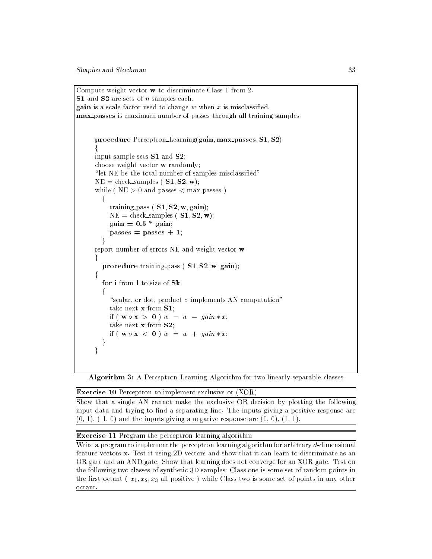```
Compute weight vector w to discriminate Class 1 from 2.
S1 and S2 are sets of n samples each.
gain is a scale factor used to change w when x is misclassified.
max passes is maximum number of passes through all training samples.
       procedure Perceptron Learning(gain; max passes; S1; S2)
        f
       input sample sets S1 and S2;
       choose weight vector w randomly;
       "let NE be the total number of samples misclassified"
       NE = \text{check\_samples} (S1, S2, w);while (NE > 0 and passes \langle \text{max} \ranglef
             training pass (S1, S2, w, gain);NE = \text{check\_samples} ( S1, S2, w);
             gain = 0.5 * gain;passes = passes + 1;
           g
       report number of errors NE and weight vector w;
       \mathcal{F}procedure training pass (S1, S2, w, gain);f
          for i from 1 to size of Sk
           for the contract of the contract of the contract of the contract of the contract of the contract of the contract of the contract of the contract of the contract of the contract of the contract of the contract of the contra
              "scalar, or dot, product \circ implements AN computation"
             take next x from S1;
             if (w \circ x > 0) w = w - gain * x;take next x from S2;
             if (w \circ x < 0) w = w + gain * x;ļ
           g
       \mathcal{E}
```
Algorithm 3: A Perceptron Learning Algorithm for two linearly separable classes

Exercise 10 Perceptron to implement exclusive or (XOR)

Show that a single AN cannot make the exclusive OR decision by plotting the following input data and trying to find a separating line. The inputs giving a positive response are  $(0, 1)$ ,  $(1, 0)$  and the inputs giving a negative response are  $(0, 0)$ ,  $(1, 1)$ .

Exercise 11 Program the perceptron learning algorithm

Write a program to implement the perceptron learning algorithm for arbitrary d-dimensional feature vectors x. Test it using 2D vectors and show that it can learn to discriminate as an OR gate and an AND gate. Show that learning does not converge for an XOR gate. Test on the following two classes of synthetic 3D samples: Class one is some set of random points in the first octant  $(x_1, x_2, x_3)$  all positive ) while Class two is some set of points in any other octant.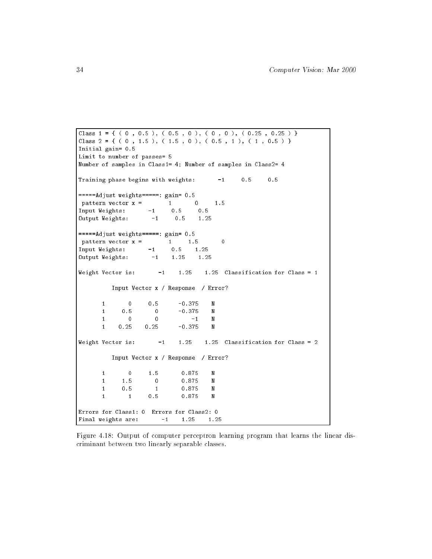```
Class 1 = \{ (0, 0.5), (0.5, 0), (0, 0, 0), (0.25, 0.25) \}Class 2 = { ( 0 , 1.5 ), ( 1.5 , 0 ), ( 0.5 , 1 ), ( 1 , 0.5 ) }
Initial gain= 0.5
Limit to number of passes= 5
Number of samples in Class1= 4; Number of samples in Class2= 4
Training phase begins with weights: -1 0.5 0.5
=====Adjust weights=====: gain= 0.5
pattern vector x = 1 0 1.5
Input Weights: -1 0.5 0.5
Output Weights: -1 0.5 1.25
===Adjust weights====: gain= 0.5pattern vector x = 1 1.5 0<br>
Input Weights: -1 0.5 1.25Input Weights: -1 0.5 1.25
Output Weights: -1 1.25 1.25
Weight Vector is: -1 1.25 1.25 Classification for Class = 1
        Input Vector x / Response / Error?
     1 0 0.5 -0.375 N
     1 0.5 0 -0.375 N
     1 0 0 -1 N
     1 0.25 0.25 -0.375 N
Weight Vector is: -1 1.25 1.25 Classification for Class = 2
        Input Vector x / Response / Error?
     1 1.5 0 0.875 N
     1 0.5 1 0.875 N
                                \mathbf{N}\overline{1}1 1 0.5 0.875 N
                                 \mathbf{N}Errors for Class1: 0 Errors for Class2: 0
Final weights are: -1 1.25 1.25
```
Figure 4.18: Output of computer perceptron learning program that learns the linear discriminant between two linearly separable classes.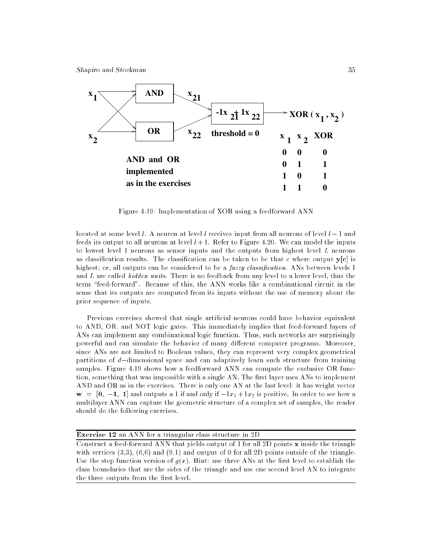

Figure 4.19: Implementation of XOR using a feedforward ANN

located at some level l. A neuron at level l receives input from all neurons of level  $l-1$  and feeds its output to all neurons at level  $l + 1$ . Refer to Figure 4.20. We can model the inputs to lowest level 1 neurons as sensor inputs and the outputs from highest level L neurons as classification results. The classification can be taken to be that c where output  $\mathbf{v}[\mathbf{c}]$  is highest; or, all outputs can be considered to be a *fuzzy classification*. ANs between levels 1 and  $L$  are called  $hidden \ units$ . There is no feedback from any level to a lower level, thus the term \feed-forward". Because of this, the ANN works like a combinational circuit in the sense that its outputs are computed from its inputs without the use of memory about the prior sequence of inputs.

Previous exercises showed that single articial neurons could have behavior equivalent to AND, OR, and NOT logic gates. This immediately implies that feed-forward layers of ANs can implement any combinational logic function. Thus, such networks are surprisingly powerful and can simulate the behavior of many different computer programs. Moreover, since ANs are not limited to Boolean values, they can represent very complex geometrical partitions of  $d$ -dimensional space and can adaptively learn such structure from training samples. Figure 4.19 shows how a feedforward ANN can compute the exclusive OR function, something that was impossible with a single AN. The first layer uses ANs to implement AND and OR as in the exercises. There is only one AN at the last level: it has weight vector  $\mathbf{w} = \begin{bmatrix} 0, -1, 1 \end{bmatrix}$  and outputs a 1 if and only if  $-1x_1 + 1x_2$  is positive. In order to see how a multilayer ANN can capture the geometric structure of a complex set of samples, the reader should do the following exercises.

Exercise 12 an ANN for a triangular class structure in 2D

Construct a feed-forward ANN that yields output of 1 for all 2D points x inside the triangle with vertices  $(3,3)$ ,  $(6,6)$  and  $(9,1)$  and output of 0 for all 2D points outside of the triangle. Use the step function version of  $g(x)$ . Hint: use three ANs at the first level to establish the class boundaries that are the sides of the triangle and use one second level AN to integrate the three outputs from the first level.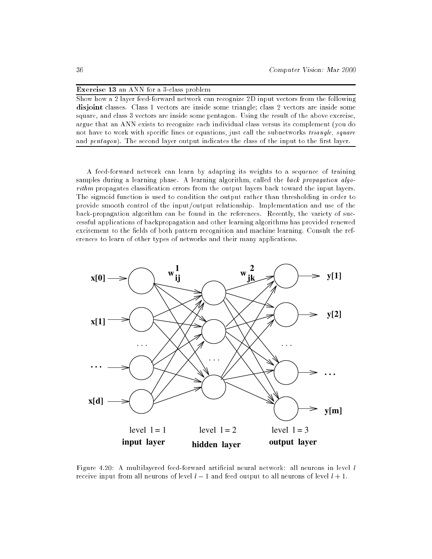| <b>Exercise 13</b> an ANN for a 3-class problem |  |  |  |
|-------------------------------------------------|--|--|--|
|-------------------------------------------------|--|--|--|

Show how a 2 layer feed-forward network can recognize 2D input vectors from the following disjoint classes. Class 1 vectors are inside some triangle; class 2 vectors are inside some square, and class 3 vectors are inside some pentagon. Using the result of the above exercise, argue that an ANN exists to recognize each individual class versus its complement (you do not have to work with specific lines or equations, just call the subnetworks *triangle, square* and  $pentagon)$ . The second layer output indicates the class of the input to the first layer.

A feed-forward network can learn by adapting its weights to a sequence of training samples during a learning phase. A learning algorithm, called the back propagation algorithm propagates classication errors from the output layers back toward the input layers. The sigmoid function is used to condition the output rather than thresholding in order to provide smooth control of the input/output relationship. Implementation and use of the back-propagation algorithm can be found in the references. Recently, the variety of successful applications of backpropagation and other learning algorithms has provided renewed excitement to the fields of both pattern recognition and machine learning. Consult the references to learn of other types of networks and their many applications.



Figure 4.20: A multilayered feed-forward artificial neural network: all neurons in level l receive input from all neurons of level  $l - 1$  and feed output to all neurons of level  $l + 1$ .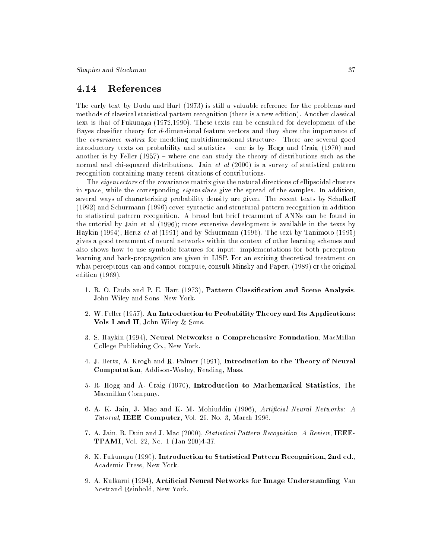#### 4.14 References

The early text by Duda and Hart (1973) is still a valuable reference for the problems and methods of classical statistical pattern recognition (there is a new edition). Another classical text is that of Fukunaga (1972,1990). These texts can be consulted for development of the Bayes classier theory for d-dimensional feature vectors and they show the importance of the covariance matrix for modeling multidimensional structure. There are several good introductory texts on probability and statistics - one is by Hogg and Craig (1970) and another is by Feller  $(1957)$  – where one can study the theory of distributions such as the normal and chi-squared distributions. Jain et al  $(2000)$  is a survey of statistical pattern recognition containing many recent citations of contributions.

The *eigenvectors* of the covariance matrix give the natural directions of ellipsoidal clusters in space, while the corresponding eigenvalues give the spread of the samples. In addition, several ways of characterizing probability density are given. The recent texts by Schalko (1992) and Schurmann (1996) cover syntactic and structural pattern recognition in addition to statistical pattern recognition. A broad but brief treatment of ANNs can be found in the tutorial by Jain et al (1996); more extensive development is available in the texts by Haykin (1994), Hertz et al (1991) and by Schurmann (1996). The text by Tanimoto (1995) gives a good treatment of neural networks within the context of other learning schemes and also shows how to use symbolic features for input: implementations for both perceptron learning and back-propagation are given in LISP. For an exciting theoretical treatment on what perceptrons can and cannot compute, consult Minsky and Papert (1989) or the original edition (1969).

- 1. R. O. Duda and P. E. Hart (1973), Pattern Classication and Scene Analysis, John Wiley and Sons, New York.
- 2. W. Feller (1957), An Introduction to Probability Theory and Its Applications; Vols I and II, John Wiley & Sons.
- 3. S. Haykin (1994), Neural Networks: a Comprehensive Foundation, MacMillan College Publishing Co., New York.
- 4. J. Hertz, A. Krogh and R. Palmer (1991), Introduction to the Theory of Neural Computation, Addison-Wesley, Reading, Mass.
- 5. R. Hogg and A. Craig (1970), Introduction to Mathematical Statistics, The Macmillan Company.
- 6. A. K. Jain, J. Mao and K. M. Mohiuddin (1996), Articial Neural Networks: A Tutorial, IEEE Computer, Vol. 29, No. 3, March 1996.
- 7. A. Jain, R. Duin and J. Mao (2000), Statistical Pattern Recognition, A Review, IEEE-TPAMI, Vol. 22, No. 1 (Jan 200)4-37.
- 8. K. Fukunaga (1990), Introduction to Statistical Pattern Recognition, 2nd ed., Academic Press, New York.
- 9. A. Kulkarni (1994), Artificial Neural Networks for Image Understanding, Van Nostrand-Reinhold, New York.